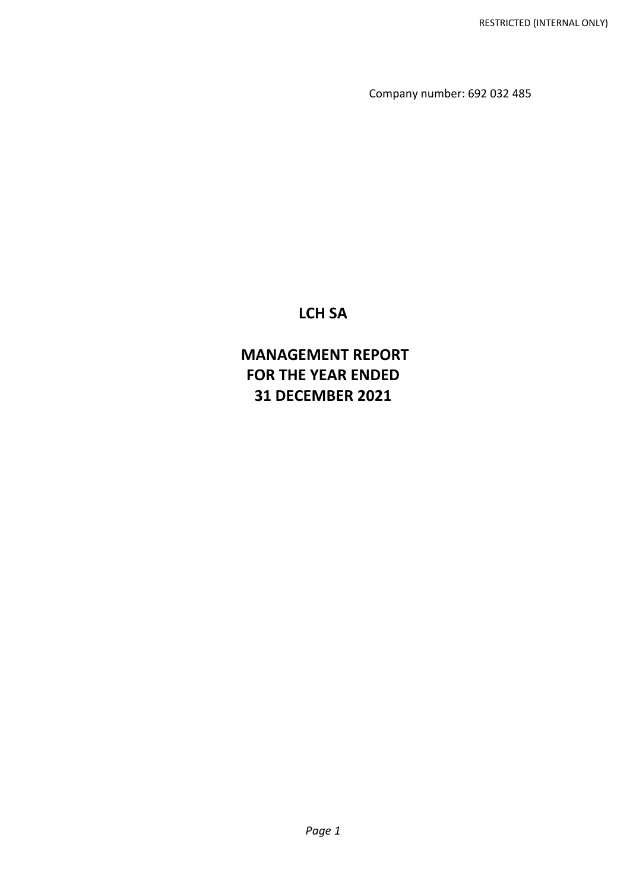Company number: 692 032 485

# **LCH SA**

# **MANAGEMENT REPORT FOR THE YEAR ENDED 31 DECEMBER 2021**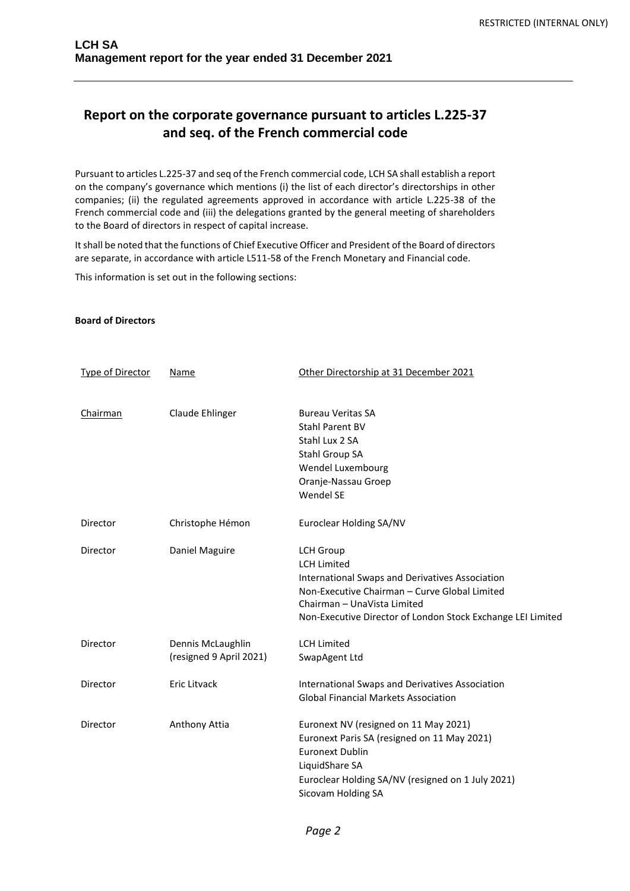# **Report on the corporate governance pursuant to articles L.225-37 and seq. of the French commercial code**

Pursuant to articles L.225-37 and seq of the French commercial code, LCH SA shall establish a report on the company's governance which mentions (i) the list of each director's directorships in other companies; (ii) the regulated agreements approved in accordance with article L.225-38 of the French commercial code and (iii) the delegations granted by the general meeting of shareholders to the Board of directors in respect of capital increase.

It shall be noted that the functions of Chief Executive Officer and President of the Board of directors are separate, in accordance with article L511-58 of the French Monetary and Financial code.

This information is set out in the following sections:

## **Board of Directors**

| <b>Type of Director</b> | <b>Name</b>             | Other Directorship at 31 December 2021                      |
|-------------------------|-------------------------|-------------------------------------------------------------|
| Chairman                | Claude Ehlinger         | <b>Bureau Veritas SA</b>                                    |
|                         |                         | <b>Stahl Parent BV</b>                                      |
|                         |                         | Stahl Lux 2 SA                                              |
|                         |                         | Stahl Group SA                                              |
|                         |                         | Wendel Luxembourg                                           |
|                         |                         | Oranje-Nassau Groep                                         |
|                         |                         | Wendel SE                                                   |
| Director                | Christophe Hémon        | Euroclear Holding SA/NV                                     |
| Director                | Daniel Maguire          | <b>LCH Group</b>                                            |
|                         |                         | <b>LCH Limited</b>                                          |
|                         |                         | <b>International Swaps and Derivatives Association</b>      |
|                         |                         | Non-Executive Chairman - Curve Global Limited               |
|                         |                         | Chairman - UnaVista Limited                                 |
|                         |                         | Non-Executive Director of London Stock Exchange LEI Limited |
| Director                | Dennis McLaughlin       | <b>LCH Limited</b>                                          |
|                         | (resigned 9 April 2021) | SwapAgent Ltd                                               |
| Director                | Eric Litvack            | International Swaps and Derivatives Association             |
|                         |                         | <b>Global Financial Markets Association</b>                 |
| Director                | Anthony Attia           | Euronext NV (resigned on 11 May 2021)                       |
|                         |                         | Euronext Paris SA (resigned on 11 May 2021)                 |
|                         |                         | <b>Euronext Dublin</b>                                      |
|                         |                         | LiquidShare SA                                              |
|                         |                         | Euroclear Holding SA/NV (resigned on 1 July 2021)           |
|                         |                         | Sicovam Holding SA                                          |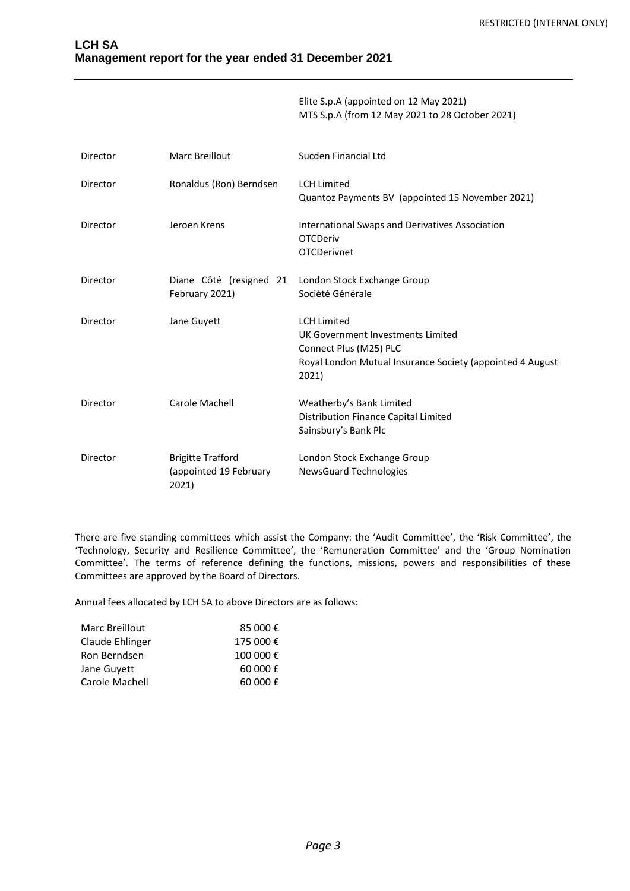Elite S.p.A (appointed on 12 May 2021) MTS S.p.A (from 12 May 2021 to 28 October 2021)

| Director | Marc Breillout                                              | Sucden Financial Ltd                                                                                                                                    |
|----------|-------------------------------------------------------------|---------------------------------------------------------------------------------------------------------------------------------------------------------|
| Director | Ronaldus (Ron) Berndsen                                     | <b>LCH Limited</b><br>Quantoz Payments BV (appointed 15 November 2021)                                                                                  |
| Director | Jeroen Krens                                                | International Swaps and Derivatives Association<br><b>OTCDeriv</b><br><b>OTCDerivnet</b>                                                                |
| Director | Diane Côté (resigned 21<br>February 2021)                   | London Stock Exchange Group<br>Société Générale                                                                                                         |
| Director | Jane Guyett                                                 | <b>LCH Limited</b><br>UK Government Investments Limited<br>Connect Plus (M25) PLC<br>Royal London Mutual Insurance Society (appointed 4 August<br>2021) |
| Director | Carole Machell                                              | Weatherby's Bank Limited<br>Distribution Finance Capital Limited<br>Sainsbury's Bank Plc                                                                |
| Director | <b>Brigitte Trafford</b><br>(appointed 19 February<br>2021) | London Stock Exchange Group<br><b>NewsGuard Technologies</b>                                                                                            |

There are five standing committees which assist the Company: the 'Audit Committee', the 'Risk Committee', the 'Technology, Security and Resilience Committee', the 'Remuneration Committee' and the 'Group Nomination Committee'. The terms of reference defining the functions, missions, powers and responsibilities of these Committees are approved by the Board of Directors.

Annual fees allocated by LCH SA to above Directors are as follows:

| Marc Breillout  | 85 000€   |
|-----------------|-----------|
| Claude Ehlinger | 175 000 € |
| Ron Berndsen    | 100 000 € |
| Jane Guyett     | 60 000 £  |
| Carole Machell  | 60 000 £  |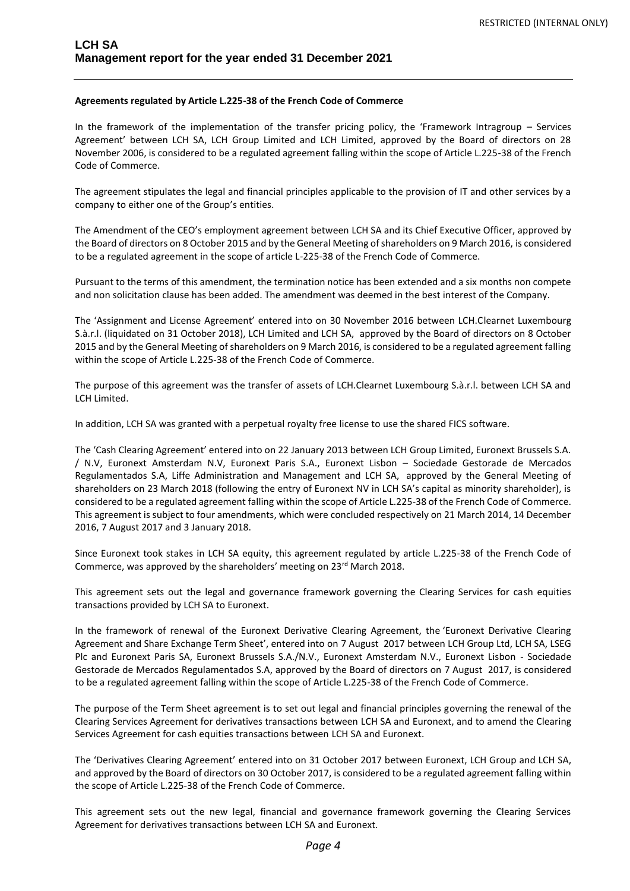## **Agreements regulated by Article L.225-38 of the French Code of Commerce**

In the framework of the implementation of the transfer pricing policy, the 'Framework Intragroup – Services Agreement' between LCH SA, LCH Group Limited and LCH Limited, approved by the Board of directors on 28 November 2006, is considered to be a regulated agreement falling within the scope of Article L.225-38 of the French Code of Commerce.

The agreement stipulates the legal and financial principles applicable to the provision of IT and other services by a company to either one of the Group's entities.

The Amendment of the CEO's employment agreement between LCH SA and its Chief Executive Officer, approved by the Board of directors on 8 October 2015 and by the General Meeting of shareholders on 9 March 2016, is considered to be a regulated agreement in the scope of article L-225-38 of the French Code of Commerce.

Pursuant to the terms of this amendment, the termination notice has been extended and a six months non compete and non solicitation clause has been added. The amendment was deemed in the best interest of the Company.

The 'Assignment and License Agreement' entered into on 30 November 2016 between LCH.Clearnet Luxembourg S.à.r.l. (liquidated on 31 October 2018), LCH Limited and LCH SA, approved by the Board of directors on 8 October 2015 and by the General Meeting of shareholders on 9 March 2016, is considered to be a regulated agreement falling within the scope of Article L.225-38 of the French Code of Commerce.

The purpose of this agreement was the transfer of assets of LCH.Clearnet Luxembourg S.à.r.l. between LCH SA and LCH Limited.

In addition, LCH SA was granted with a perpetual royalty free license to use the shared FICS software.

The 'Cash Clearing Agreement' entered into on 22 January 2013 between LCH Group Limited, Euronext Brussels S.A. / N.V, Euronext Amsterdam N.V, Euronext Paris S.A., Euronext Lisbon – Sociedade Gestorade de Mercados Regulamentados S.A, Liffe Administration and Management and LCH SA, approved by the General Meeting of shareholders on 23 March 2018 (following the entry of Euronext NV in LCH SA's capital as minority shareholder), is considered to be a regulated agreement falling within the scope of Article L.225-38 of the French Code of Commerce. This agreement is subject to four amendments, which were concluded respectively on 21 March 2014, 14 December 2016, 7 August 2017 and 3 January 2018.

Since Euronext took stakes in LCH SA equity, this agreement regulated by article L.225-38 of the French Code of Commerce, was approved by the shareholders' meeting on 23rd March 2018.

This agreement sets out the legal and governance framework governing the Clearing Services for cash equities transactions provided by LCH SA to Euronext.

In the framework of renewal of the Euronext Derivative Clearing Agreement, the 'Euronext Derivative Clearing Agreement and Share Exchange Term Sheet', entered into on 7 August 2017 between LCH Group Ltd, LCH SA, LSEG Plc and Euronext Paris SA, Euronext Brussels S.A./N.V., Euronext Amsterdam N.V., Euronext Lisbon - Sociedade Gestorade de Mercados Regulamentados S.A, approved by the Board of directors on 7 August 2017, is considered to be a regulated agreement falling within the scope of Article L.225-38 of the French Code of Commerce.

The purpose of the Term Sheet agreement is to set out legal and financial principles governing the renewal of the Clearing Services Agreement for derivatives transactions between LCH SA and Euronext, and to amend the Clearing Services Agreement for cash equities transactions between LCH SA and Euronext.

The 'Derivatives Clearing Agreement' entered into on 31 October 2017 between Euronext, LCH Group and LCH SA, and approved by the Board of directors on 30 October 2017, is considered to be a regulated agreement falling within the scope of Article L.225-38 of the French Code of Commerce.

This agreement sets out the new legal, financial and governance framework governing the Clearing Services Agreement for derivatives transactions between LCH SA and Euronext.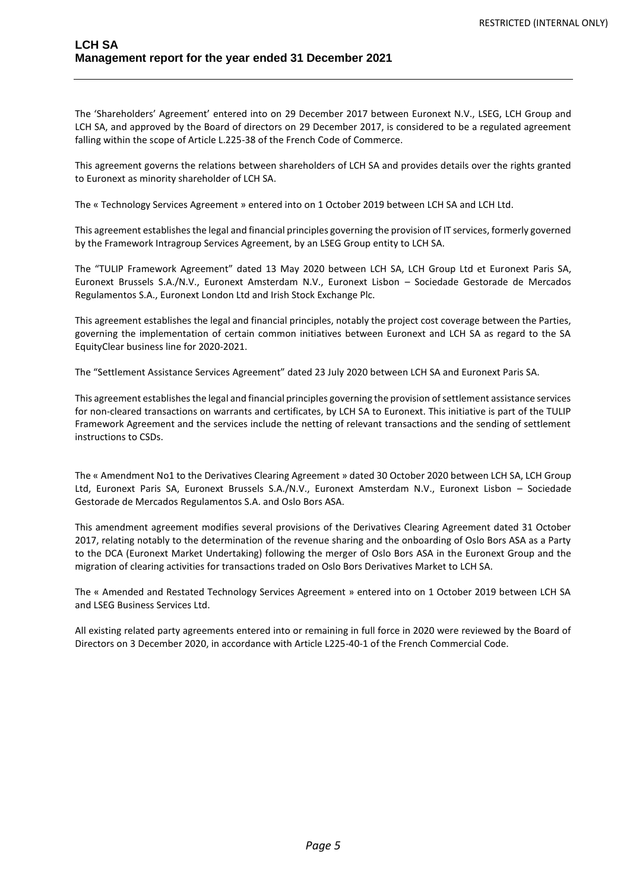The 'Shareholders' Agreement' entered into on 29 December 2017 between Euronext N.V., LSEG, LCH Group and LCH SA, and approved by the Board of directors on 29 December 2017, is considered to be a regulated agreement falling within the scope of Article L.225-38 of the French Code of Commerce.

This agreement governs the relations between shareholders of LCH SA and provides details over the rights granted to Euronext as minority shareholder of LCH SA.

The « Technology Services Agreement » entered into on 1 October 2019 between LCH SA and LCH Ltd.

This agreement establishes the legal and financial principles governing the provision of IT services, formerly governed by the Framework Intragroup Services Agreement, by an LSEG Group entity to LCH SA.

The "TULIP Framework Agreement" dated 13 May 2020 between LCH SA, LCH Group Ltd et Euronext Paris SA, Euronext Brussels S.A./N.V., Euronext Amsterdam N.V., Euronext Lisbon – Sociedade Gestorade de Mercados Regulamentos S.A., Euronext London Ltd and Irish Stock Exchange Plc.

This agreement establishes the legal and financial principles, notably the project cost coverage between the Parties, governing the implementation of certain common initiatives between Euronext and LCH SA as regard to the SA EquityClear business line for 2020-2021.

The "Settlement Assistance Services Agreement" dated 23 July 2020 between LCH SA and Euronext Paris SA.

This agreement establishes the legal and financial principles governing the provision of settlement assistance services for non-cleared transactions on warrants and certificates, by LCH SA to Euronext. This initiative is part of the TULIP Framework Agreement and the services include the netting of relevant transactions and the sending of settlement instructions to CSDs.

The « Amendment No1 to the Derivatives Clearing Agreement » dated 30 October 2020 between LCH SA, LCH Group Ltd, Euronext Paris SA, Euronext Brussels S.A./N.V., Euronext Amsterdam N.V., Euronext Lisbon – Sociedade Gestorade de Mercados Regulamentos S.A. and Oslo Bors ASA.

This amendment agreement modifies several provisions of the Derivatives Clearing Agreement dated 31 October 2017, relating notably to the determination of the revenue sharing and the onboarding of Oslo Bors ASA as a Party to the DCA (Euronext Market Undertaking) following the merger of Oslo Bors ASA in the Euronext Group and the migration of clearing activities for transactions traded on Oslo Bors Derivatives Market to LCH SA.

The « Amended and Restated Technology Services Agreement » entered into on 1 October 2019 between LCH SA and LSEG Business Services Ltd.

All existing related party agreements entered into or remaining in full force in 2020 were reviewed by the Board of Directors on 3 December 2020, in accordance with Article L225-40-1 of the French Commercial Code.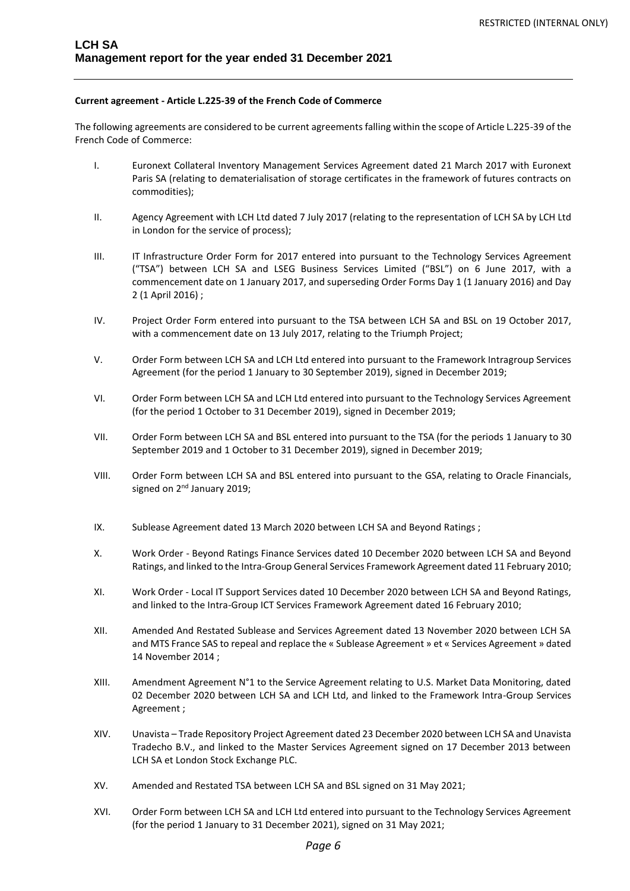## **Current agreement - Article L.225-39 of the French Code of Commerce**

The following agreements are considered to be current agreements falling within the scope of Article L.225-39 of the French Code of Commerce:

- I. Euronext Collateral Inventory Management Services Agreement dated 21 March 2017 with Euronext Paris SA (relating to dematerialisation of storage certificates in the framework of futures contracts on commodities);
- II. Agency Agreement with LCH Ltd dated 7 July 2017 (relating to the representation of LCH SA by LCH Ltd in London for the service of process);
- III. IT Infrastructure Order Form for 2017 entered into pursuant to the Technology Services Agreement ("TSA") between LCH SA and LSEG Business Services Limited ("BSL") on 6 June 2017, with a commencement date on 1 January 2017, and superseding Order Forms Day 1 (1 January 2016) and Day 2 (1 April 2016) ;
- IV. Project Order Form entered into pursuant to the TSA between LCH SA and BSL on 19 October 2017, with a commencement date on 13 July 2017, relating to the Triumph Project;
- V. Order Form between LCH SA and LCH Ltd entered into pursuant to the Framework Intragroup Services Agreement (for the period 1 January to 30 September 2019), signed in December 2019;
- VI. Order Form between LCH SA and LCH Ltd entered into pursuant to the Technology Services Agreement (for the period 1 October to 31 December 2019), signed in December 2019;
- VII. Order Form between LCH SA and BSL entered into pursuant to the TSA (for the periods 1 January to 30 September 2019 and 1 October to 31 December 2019), signed in December 2019;
- VIII. Order Form between LCH SA and BSL entered into pursuant to the GSA, relating to Oracle Financials, signed on 2<sup>nd</sup> January 2019;
- IX. Sublease Agreement dated 13 March 2020 between LCH SA and Beyond Ratings;
- X. Work Order Beyond Ratings Finance Services dated 10 December 2020 between LCH SA and Beyond Ratings, and linked to the Intra-Group General Services Framework Agreement dated 11 February 2010;
- XI. Work Order Local IT Support Services dated 10 December 2020 between LCH SA and Beyond Ratings, and linked to the Intra-Group ICT Services Framework Agreement dated 16 February 2010;
- XII. Amended And Restated Sublease and Services Agreement dated 13 November 2020 between LCH SA and MTS France SAS to repeal and replace the « Sublease Agreement » et « Services Agreement » dated 14 November 2014 ;
- XIII. Amendment Agreement N°1 to the Service Agreement relating to U.S. Market Data Monitoring, dated 02 December 2020 between LCH SA and LCH Ltd, and linked to the Framework Intra-Group Services Agreement ;
- XIV. Unavista Trade Repository Project Agreement dated 23 December 2020 between LCH SA and Unavista Tradecho B.V., and linked to the Master Services Agreement signed on 17 December 2013 between LCH SA et London Stock Exchange PLC.
- XV. Amended and Restated TSA between LCH SA and BSL signed on 31 May 2021;
- XVI. Order Form between LCH SA and LCH Ltd entered into pursuant to the Technology Services Agreement (for the period 1 January to 31 December 2021), signed on 31 May 2021;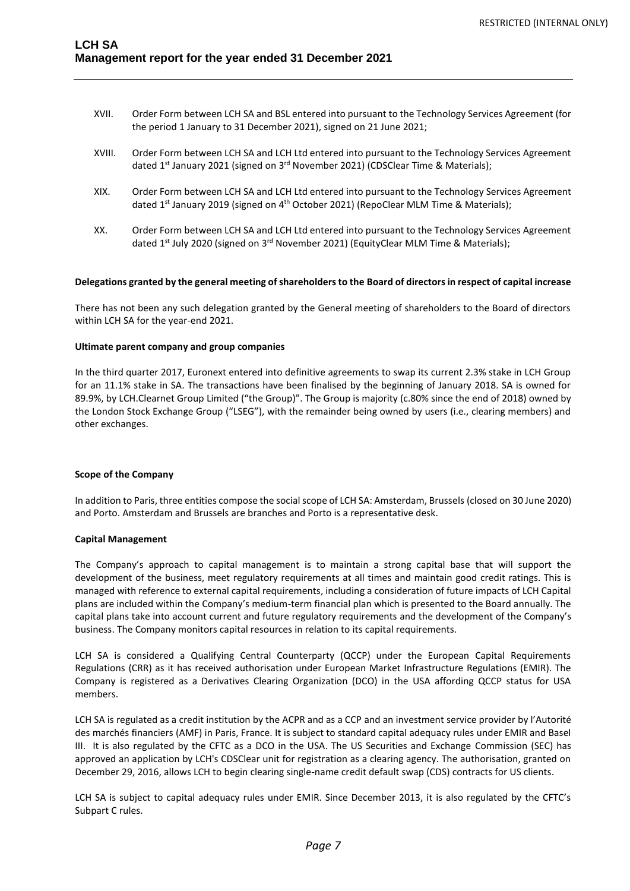- XVII. Order Form between LCH SA and BSL entered into pursuant to the Technology Services Agreement (for the period 1 January to 31 December 2021), signed on 21 June 2021;
- XVIII. Order Form between LCH SA and LCH Ltd entered into pursuant to the Technology Services Agreement dated 1<sup>st</sup> January 2021 (signed on 3<sup>rd</sup> November 2021) (CDSClear Time & Materials);
- XIX. Order Form between LCH SA and LCH Ltd entered into pursuant to the Technology Services Agreement dated 1<sup>st</sup> January 2019 (signed on 4<sup>th</sup> October 2021) (RepoClear MLM Time & Materials);
- XX. Order Form between LCH SA and LCH Ltd entered into pursuant to the Technology Services Agreement dated 1<sup>st</sup> July 2020 (signed on 3<sup>rd</sup> November 2021) (EquityClear MLM Time & Materials);

#### **Delegations granted by the general meeting of shareholders to the Board of directors in respect of capital increase**

There has not been any such delegation granted by the General meeting of shareholders to the Board of directors within LCH SA for the year-end 2021.

#### **Ultimate parent company and group companies**

In the third quarter 2017, Euronext entered into definitive agreements to swap its current 2.3% stake in LCH Group for an 11.1% stake in SA. The transactions have been finalised by the beginning of January 2018. SA is owned for 89.9%, by LCH.Clearnet Group Limited ("the Group)". The Group is majority (c.80% since the end of 2018) owned by the London Stock Exchange Group ("LSEG"), with the remainder being owned by users (i.e., clearing members) and other exchanges.

#### **Scope of the Company**

In addition to Paris, three entities compose the social scope of LCH SA: Amsterdam, Brussels (closed on 30 June 2020) and Porto. Amsterdam and Brussels are branches and Porto is a representative desk.

#### **Capital Management**

The Company's approach to capital management is to maintain a strong capital base that will support the development of the business, meet regulatory requirements at all times and maintain good credit ratings. This is managed with reference to external capital requirements, including a consideration of future impacts of LCH Capital plans are included within the Company's medium-term financial plan which is presented to the Board annually. The capital plans take into account current and future regulatory requirements and the development of the Company's business. The Company monitors capital resources in relation to its capital requirements.

LCH SA is considered a Qualifying Central Counterparty (QCCP) under the European Capital Requirements Regulations (CRR) as it has received authorisation under European Market Infrastructure Regulations (EMIR). The Company is registered as a Derivatives Clearing Organization (DCO) in the USA affording QCCP status for USA members.

LCH SA is regulated as a credit institution by the ACPR and as a CCP and an investment service provider by l'Autorité des marchés financiers (AMF) in Paris, France. It is subject to standard capital adequacy rules under EMIR and Basel III. It is also regulated by the CFTC as a DCO in the USA. The US Securities and Exchange Commission (SEC) has approved an application by LCH's CDSClear unit for registration as a clearing agency. The authorisation, granted on December 29, 2016, allows LCH to begin clearing single-name credit default swap (CDS) contracts for US clients.

LCH SA is subject to capital adequacy rules under EMIR. Since December 2013, it is also regulated by the CFTC's Subpart C rules.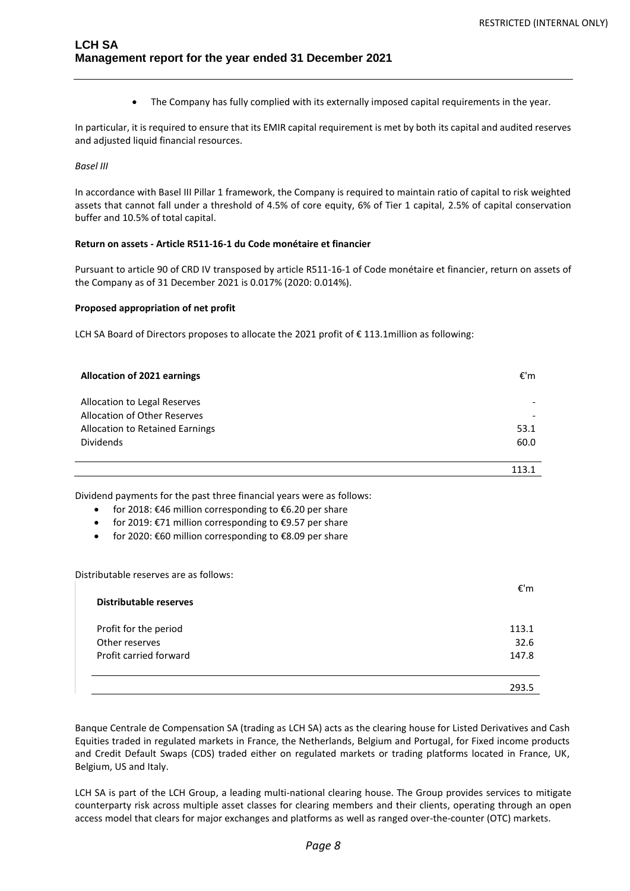• The Company has fully complied with its externally imposed capital requirements in the year.

In particular, it is required to ensure that its EMIR capital requirement is met by both its capital and audited reserves and adjusted liquid financial resources.

#### *Basel III*

In accordance with Basel III Pillar 1 framework, the Company is required to maintain ratio of capital to risk weighted assets that cannot fall under a threshold of 4.5% of core equity, 6% of Tier 1 capital, 2.5% of capital conservation buffer and 10.5% of total capital.

#### **Return on assets - Article R511-16-1 du Code monétaire et financier**

Pursuant to article 90 of CRD IV transposed by article R511-16-1 of Code monétaire et financier, return on assets of the Company as of 31 December 2021 is 0.017% (2020: 0.014%).

#### **Proposed appropriation of net profit**

LCH SA Board of Directors proposes to allocate the 2021 profit of € 113.1million as following:

| Allocation of 2021 earnings                                         | €'m  |
|---------------------------------------------------------------------|------|
| Allocation to Legal Reserves<br><b>Allocation of Other Reserves</b> |      |
| Allocation to Retained Earnings                                     | 53.1 |
| <b>Dividends</b>                                                    | 60.0 |
|                                                                     |      |
|                                                                     |      |

Dividend payments for the past three financial years were as follows:

- for 2018: €46 million corresponding to €6.20 per share
- for 2019: €71 million corresponding to €9.57 per share
- for 2020: €60 million corresponding to €8.09 per share

Distributable reserves are as follows:

| <b>Distributable reserves</b> | €'m   |
|-------------------------------|-------|
| Profit for the period         | 113.1 |
| Other reserves                | 32.6  |
| Profit carried forward        | 147.8 |
|                               | 293.5 |

Banque Centrale de Compensation SA (trading as LCH SA) acts as the clearing house for Listed Derivatives and Cash Equities traded in regulated markets in France, the Netherlands, Belgium and Portugal, for Fixed income products and Credit Default Swaps (CDS) traded either on regulated markets or trading platforms located in France, UK, Belgium, US and Italy.

LCH SA is part of the LCH Group, a leading multi-national clearing house. The Group provides services to mitigate counterparty risk across multiple asset classes for clearing members and their clients, operating through an open access model that clears for major exchanges and platforms as well as ranged over-the-counter (OTC) markets.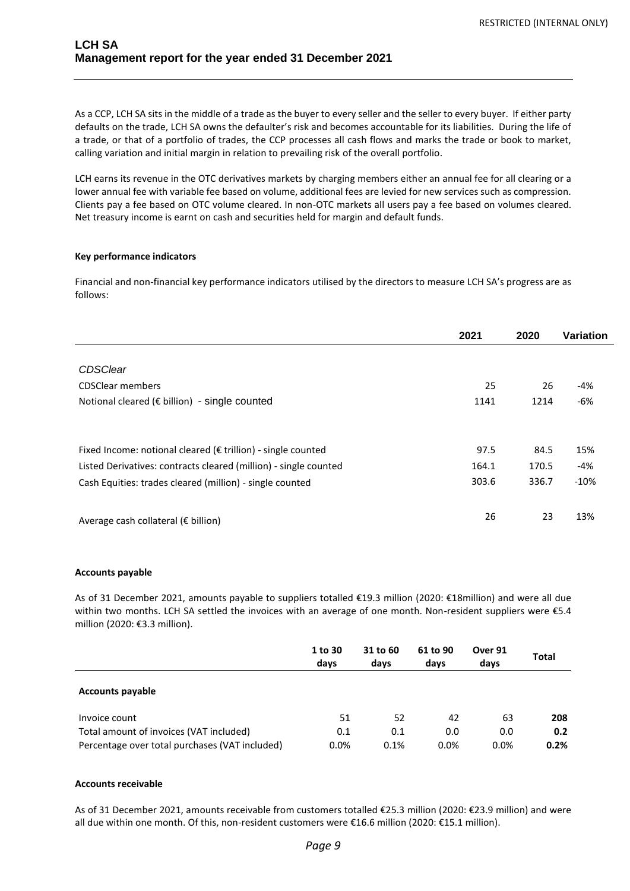As a CCP, LCH SA sits in the middle of a trade as the buyer to every seller and the seller to every buyer. If either party defaults on the trade, LCH SA owns the defaulter's risk and becomes accountable for its liabilities. During the life of a trade, or that of a portfolio of trades, the CCP processes all cash flows and marks the trade or book to market, calling variation and initial margin in relation to prevailing risk of the overall portfolio.

LCH earns its revenue in the OTC derivatives markets by charging members either an annual fee for all clearing or a lower annual fee with variable fee based on volume, additional fees are levied for new services such as compression. Clients pay a fee based on OTC volume cleared. In non-OTC markets all users pay a fee based on volumes cleared. Net treasury income is earnt on cash and securities held for margin and default funds.

## **Key performance indicators**

Financial and non-financial key performance indicators utilised by the directors to measure LCH SA's progress are as follows:

|                                                                  | 2021  | 2020  | Variation |
|------------------------------------------------------------------|-------|-------|-----------|
|                                                                  |       |       |           |
| <b>CDSClear</b>                                                  |       |       |           |
| <b>CDSClear members</b>                                          | 25    | 26    | -4%       |
| Notional cleared (€ billion) - single counted                    | 1141  | 1214  | -6%       |
|                                                                  |       |       |           |
| Fixed Income: notional cleared (€ trillion) - single counted     | 97.5  | 84.5  | 15%       |
| Listed Derivatives: contracts cleared (million) - single counted | 164.1 | 170.5 | -4%       |
| Cash Equities: trades cleared (million) - single counted         | 303.6 | 336.7 | $-10%$    |
| Average cash collateral ( $\epsilon$ billion)                    | 26    | 23    | 13%       |

## **Accounts payable**

As of 31 December 2021, amounts payable to suppliers totalled €19.3 million (2020: €18million) and were all due within two months. LCH SA settled the invoices with an average of one month. Non-resident suppliers were €5.4 million (2020: €3.3 million).

|                                                                                           | 1 to 30<br>days | 31 to 60<br>days | 61 to 90<br>days | Over 91<br>days | <b>Total</b> |
|-------------------------------------------------------------------------------------------|-----------------|------------------|------------------|-----------------|--------------|
| <b>Accounts payable</b>                                                                   |                 |                  |                  |                 |              |
| Invoice count                                                                             | 51              | 52               | 42               | 63              | 208          |
| Total amount of invoices (VAT included)<br>Percentage over total purchases (VAT included) | 0.1<br>0.0%     | 0.1<br>0.1%      | 0.0<br>0.0%      | 0.0<br>0.0%     | 0.2<br>0.2%  |

## **Accounts receivable**

As of 31 December 2021, amounts receivable from customers totalled €25.3 million (2020: €23.9 million) and were all due within one month. Of this, non-resident customers were €16.6 million (2020: €15.1 million).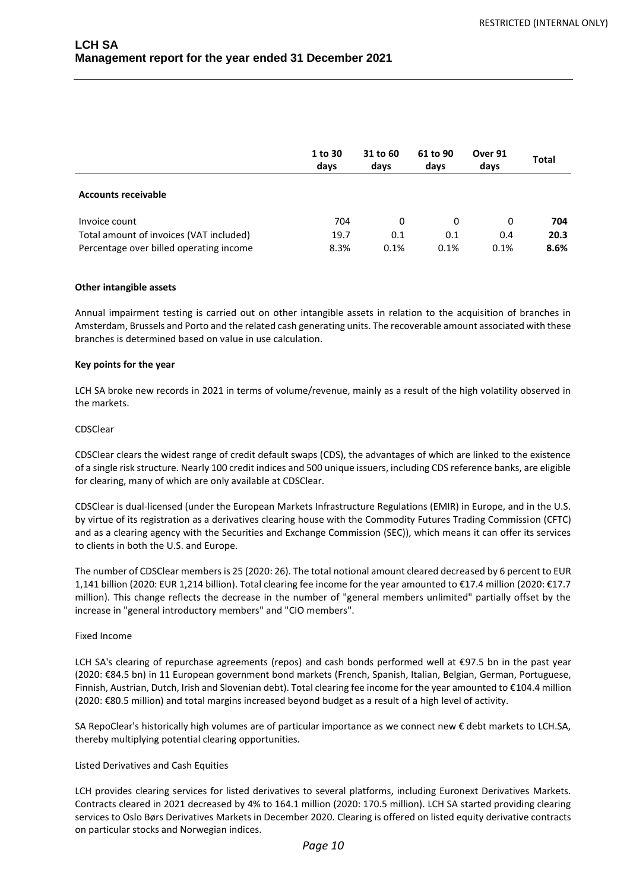|                                         | 1 to 30<br>days | 31 to 60<br>days | 61 to 90<br>days | Over 91<br>days | <b>Total</b> |
|-----------------------------------------|-----------------|------------------|------------------|-----------------|--------------|
| <b>Accounts receivable</b>              |                 |                  |                  |                 |              |
| Invoice count                           | 704             | 0                | 0                | 0               | 704          |
| Total amount of invoices (VAT included) | 19.7            | 0.1              | 0.1              | 0.4             | 20.3         |
| Percentage over billed operating income | 8.3%            | 0.1%             | 0.1%             | 0.1%            | 8.6%         |

#### **Other intangible assets**

Annual impairment testing is carried out on other intangible assets in relation to the acquisition of branches in Amsterdam, Brussels and Porto and the related cash generating units. The recoverable amount associated with these branches is determined based on value in use calculation.

#### **Key points for the year**

LCH SA broke new records in 2021 in terms of volume/revenue, mainly as a result of the high volatility observed in the markets.

#### CDSClear

CDSClear clears the widest range of credit default swaps (CDS), the advantages of which are linked to the existence of a single risk structure. Nearly 100 credit indices and 500 unique issuers, including CDS reference banks, are eligible for clearing, many of which are only available at CDSClear.

CDSClear is dual-licensed (under the European Markets Infrastructure Regulations (EMIR) in Europe, and in the U.S. by virtue of its registration as a derivatives clearing house with the Commodity Futures Trading Commission (CFTC) and as a clearing agency with the Securities and Exchange Commission (SEC)), which means it can offer its services to clients in both the U.S. and Europe.

The number of CDSClear members is 25 (2020: 26). The total notional amount cleared decreased by 6 percent to EUR 1,141 billion (2020: EUR 1,214 billion). Total clearing fee income for the year amounted to €17.4 million (2020: €17.7 million). This change reflects the decrease in the number of "general members unlimited" partially offset by the increase in "general introductory members" and "CIO members".

#### Fixed Income

LCH SA's clearing of repurchase agreements (repos) and cash bonds performed well at €97.5 bn in the past year (2020: €84.5 bn) in 11 European government bond markets (French, Spanish, Italian, Belgian, German, Portuguese, Finnish, Austrian, Dutch, Irish and Slovenian debt). Total clearing fee income for the year amounted to €104.4 million (2020: €80.5 million) and total margins increased beyond budget as a result of a high level of activity.

SA RepoClear's historically high volumes are of particular importance as we connect new € debt markets to LCH.SA, thereby multiplying potential clearing opportunities.

## Listed Derivatives and Cash Equities

LCH provides clearing services for listed derivatives to several platforms, including Euronext Derivatives Markets. Contracts cleared in 2021 decreased by 4% to 164.1 million (2020: 170.5 million). LCH SA started providing clearing services to Oslo Børs Derivatives Markets in December 2020. Clearing is offered on listed equity derivative contracts on particular stocks and Norwegian indices.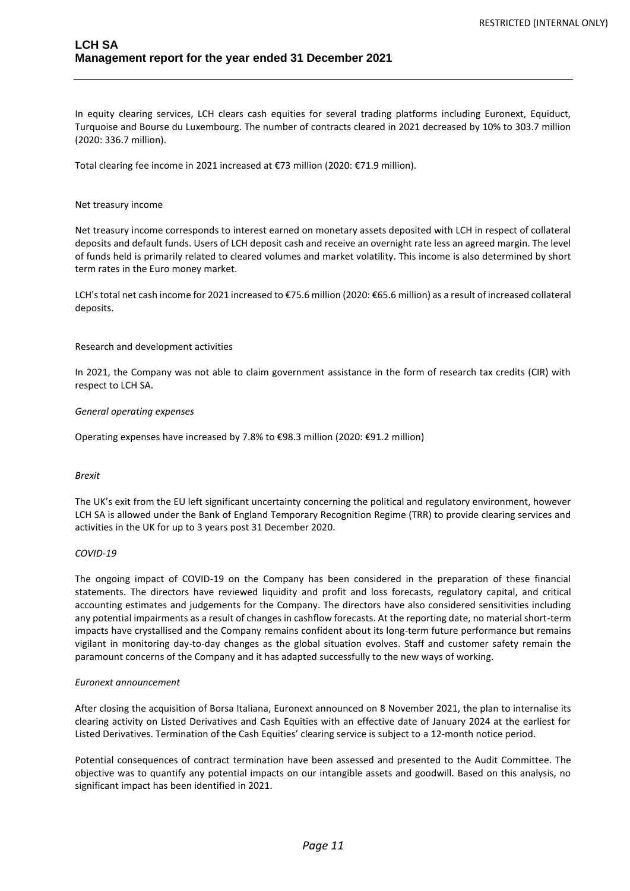In equity clearing services, LCH clears cash equities for several trading platforms including Euronext, Equiduct, Turquoise and Bourse du Luxembourg. The number of contracts cleared in 2021 decreased by 10% to 303.7 million (2020: 336.7 million).

Total clearing fee income in 2021 increased at €73 million (2020: €71.9 million).

#### Net treasury income

Net treasury income corresponds to interest earned on monetary assets deposited with LCH in respect of collateral deposits and default funds. Users of LCH deposit cash and receive an overnight rate less an agreed margin. The level of funds held is primarily related to cleared volumes and market volatility. This income is also determined by short term rates in the Euro money market.

LCH's total net cash income for 2021 increased to €75.6 million (2020: €65.6 million) as a result of increased collateral deposits.

#### Research and development activities

In 2021, the Company was not able to claim government assistance in the form of research tax credits (CIR) with respect to LCH SA.

#### *General operating expenses*

Operating expenses have increased by 7.8% to €98.3 million (2020: €91.2 million)

#### *Brexit*

The UK's exit from the EU left significant uncertainty concerning the political and regulatory environment, however LCH SA is allowed under the Bank of England Temporary Recognition Regime (TRR) to provide clearing services and activities in the UK for up to 3 years post 31 December 2020.

#### *COVID-19*

The ongoing impact of COVID-19 on the Company has been considered in the preparation of these financial statements. The directors have reviewed liquidity and profit and loss forecasts, regulatory capital, and critical accounting estimates and judgements for the Company. The directors have also considered sensitivities including any potential impairments as a result of changes in cashflow forecasts. At the reporting date, no material short-term impacts have crystallised and the Company remains confident about its long-term future performance but remains vigilant in monitoring day-to-day changes as the global situation evolves. Staff and customer safety remain the paramount concerns of the Company and it has adapted successfully to the new ways of working.

#### *Euronext announcement*

After closing the acquisition of Borsa Italiana, Euronext announced on 8 November 2021, the plan to internalise its clearing activity on Listed Derivatives and Cash Equities with an effective date of January 2024 at the earliest for Listed Derivatives. Termination of the Cash Equities' clearing service is subject to a 12-month notice period.

Potential consequences of contract termination have been assessed and presented to the Audit Committee. The objective was to quantify any potential impacts on our intangible assets and goodwill. Based on this analysis, no significant impact has been identified in 2021.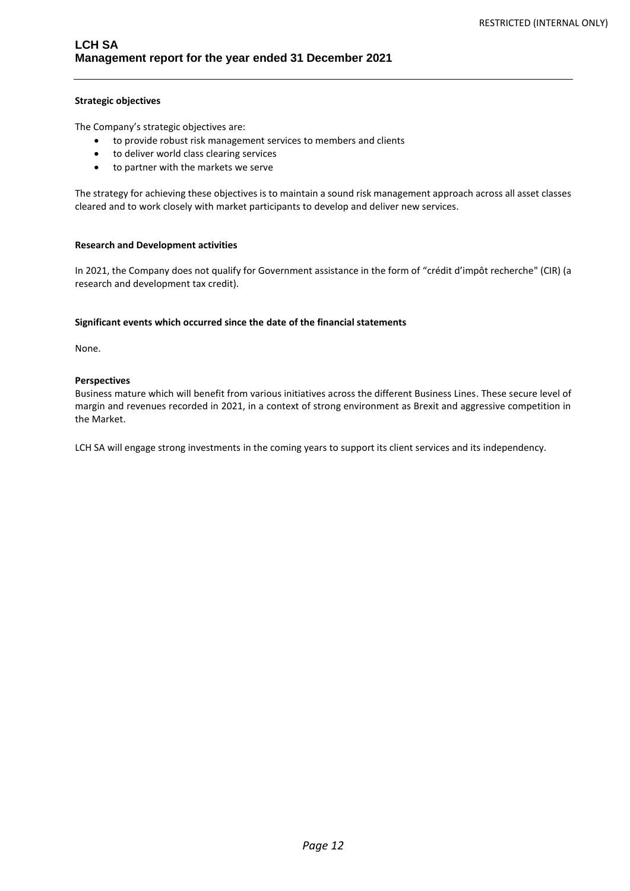## **Strategic objectives**

The Company's strategic objectives are:

- to provide robust risk management services to members and clients
- to deliver world class clearing services
- to partner with the markets we serve

The strategy for achieving these objectives is to maintain a sound risk management approach across all asset classes cleared and to work closely with market participants to develop and deliver new services.

#### **Research and Development activities**

In 2021, the Company does not qualify for Government assistance in the form of "crédit d'impôt recherche" (CIR) (a research and development tax credit).

#### **Significant events which occurred since the date of the financial statements**

None.

#### **Perspectives**

Business mature which will benefit from various initiatives across the different Business Lines. These secure level of margin and revenues recorded in 2021, in a context of strong environment as Brexit and aggressive competition in the Market.

LCH SA will engage strong investments in the coming years to support its client services and its independency.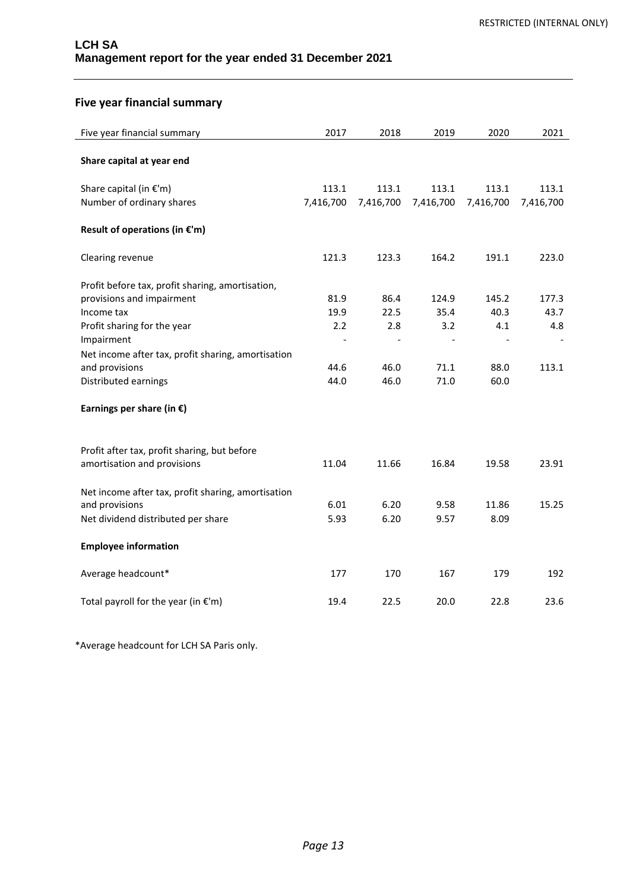# **Five year financial summary**

| Five year financial summary                        | 2017      | 2018      | 2019                     | 2020                     | 2021      |
|----------------------------------------------------|-----------|-----------|--------------------------|--------------------------|-----------|
|                                                    |           |           |                          |                          |           |
| Share capital at year end                          |           |           |                          |                          |           |
|                                                    |           |           |                          |                          |           |
| Share capital (in €'m)                             | 113.1     | 113.1     | 113.1                    | 113.1                    | 113.1     |
| Number of ordinary shares                          | 7,416,700 | 7,416,700 | 7,416,700                | 7,416,700                | 7,416,700 |
| Result of operations (in $\epsilon$ 'm)            |           |           |                          |                          |           |
| Clearing revenue                                   | 121.3     | 123.3     | 164.2                    | 191.1                    | 223.0     |
| Profit before tax, profit sharing, amortisation,   |           |           |                          |                          |           |
| provisions and impairment                          | 81.9      | 86.4      | 124.9                    | 145.2                    | 177.3     |
| Income tax                                         | 19.9      | 22.5      | 35.4                     | 40.3                     | 43.7      |
| Profit sharing for the year                        | 2.2       | 2.8       | 3.2                      | 4.1                      | 4.8       |
| Impairment                                         |           |           | $\overline{\phantom{a}}$ | $\overline{\phantom{a}}$ |           |
| Net income after tax, profit sharing, amortisation |           |           |                          |                          |           |
| and provisions                                     | 44.6      | 46.0      | 71.1                     | 88.0                     | 113.1     |
| Distributed earnings                               | 44.0      | 46.0      | 71.0                     | 60.0                     |           |
| Earnings per share (in $\epsilon$ )                |           |           |                          |                          |           |
|                                                    |           |           |                          |                          |           |
| Profit after tax, profit sharing, but before       |           |           |                          |                          |           |
| amortisation and provisions                        | 11.04     | 11.66     | 16.84                    | 19.58                    | 23.91     |
| Net income after tax, profit sharing, amortisation |           |           |                          |                          |           |
| and provisions                                     | 6.01      | 6.20      | 9.58                     | 11.86                    | 15.25     |
| Net dividend distributed per share                 | 5.93      | 6.20      | 9.57                     | 8.09                     |           |
| <b>Employee information</b>                        |           |           |                          |                          |           |
| Average headcount*                                 | 177       | 170       | 167                      | 179                      | 192       |
| Total payroll for the year (in $\epsilon$ 'm)      | 19.4      | 22.5      | 20.0                     | 22.8                     | 23.6      |

\*Average headcount for LCH SA Paris only.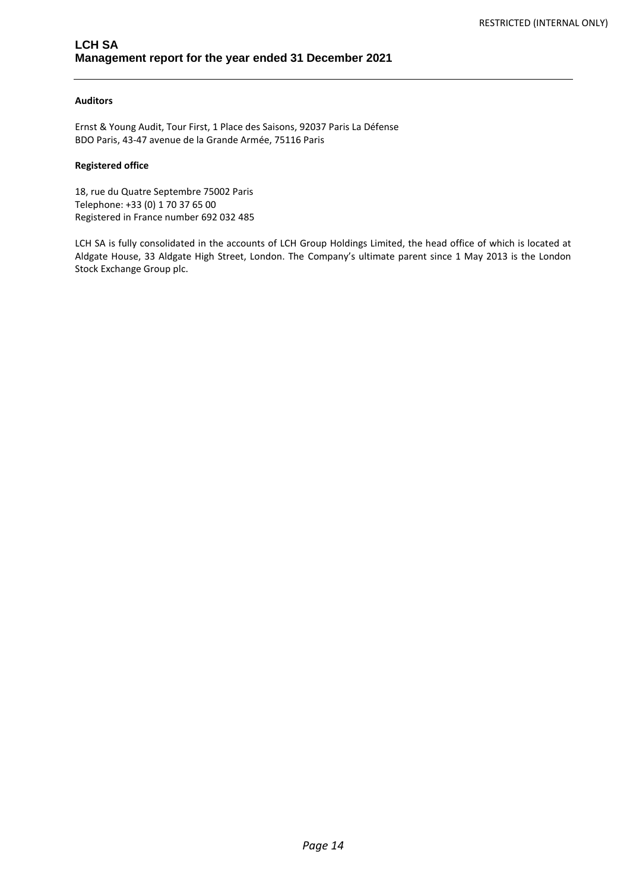## **Auditors**

Ernst & Young Audit, Tour First, 1 Place des Saisons, 92037 Paris La Défense BDO Paris, 43-47 avenue de la Grande Armée, 75116 Paris

## **Registered office**

18, rue du Quatre Septembre 75002 Paris Telephone: +33 (0) 1 70 37 65 00 Registered in France number 692 032 485

LCH SA is fully consolidated in the accounts of LCH Group Holdings Limited, the head office of which is located at Aldgate House, 33 Aldgate High Street, London. The Company's ultimate parent since 1 May 2013 is the London Stock Exchange Group plc.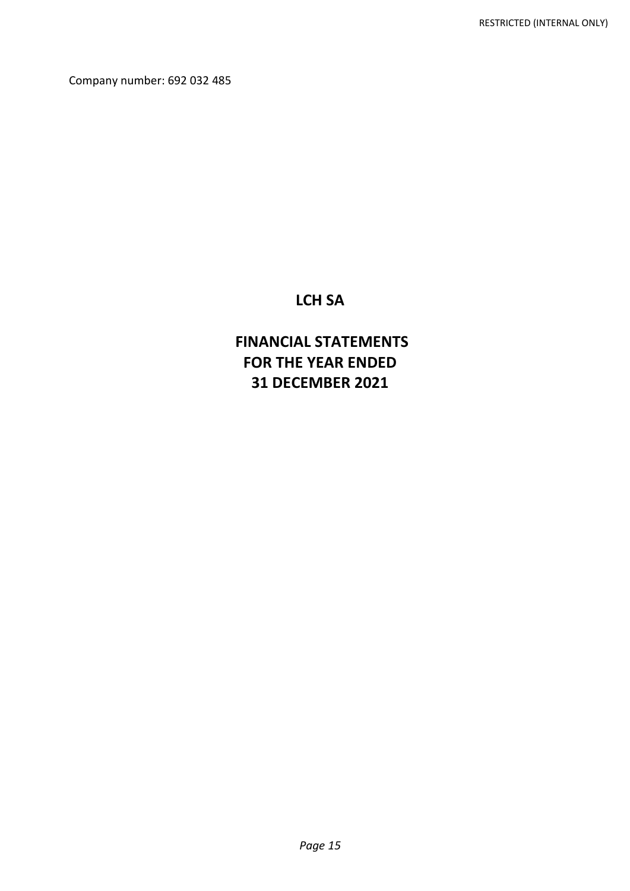Company number: 692 032 485

# **LCH SA**

# **FINANCIAL STATEMENTS FOR THE YEAR ENDED 31 DECEMBER 2021**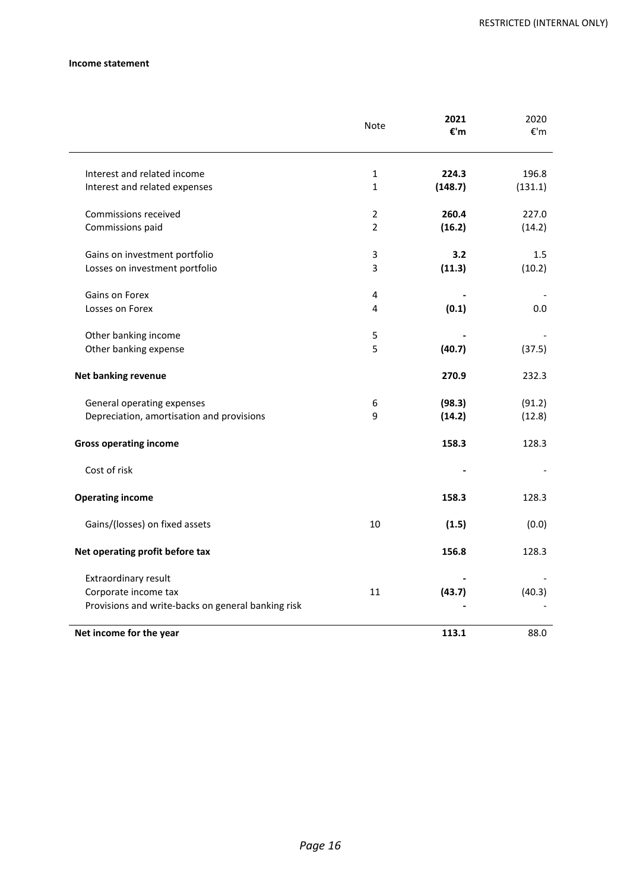## **Income statement**

|                                                    | Note           | 2021<br>€'m | 2020<br>€'m |
|----------------------------------------------------|----------------|-------------|-------------|
| Interest and related income                        | $\mathbf{1}$   | 224.3       | 196.8       |
| Interest and related expenses                      | $\mathbf{1}$   | (148.7)     | (131.1)     |
| Commissions received                               | 2              | 260.4       | 227.0       |
| Commissions paid                                   | $\overline{2}$ | (16.2)      | (14.2)      |
| Gains on investment portfolio                      | 3              | 3.2         | 1.5         |
| Losses on investment portfolio                     | 3              | (11.3)      | (10.2)      |
| Gains on Forex                                     | 4              |             |             |
| Losses on Forex                                    | 4              | (0.1)       | 0.0         |
| Other banking income                               | 5              |             |             |
| Other banking expense                              | 5              | (40.7)      | (37.5)      |
| <b>Net banking revenue</b>                         |                | 270.9       | 232.3       |
| General operating expenses                         | 6              | (98.3)      | (91.2)      |
| Depreciation, amortisation and provisions          | 9              | (14.2)      | (12.8)      |
| <b>Gross operating income</b>                      |                | 158.3       | 128.3       |
| Cost of risk                                       |                |             |             |
| <b>Operating income</b>                            |                | 158.3       | 128.3       |
| Gains/(losses) on fixed assets                     | 10             | (1.5)       | (0.0)       |
| Net operating profit before tax                    |                | 156.8       | 128.3       |
| Extraordinary result                               |                |             |             |
| Corporate income tax                               | 11             | (43.7)      | (40.3)      |
| Provisions and write-backs on general banking risk |                |             |             |
| Net income for the year                            |                | 113.1       | 88.0        |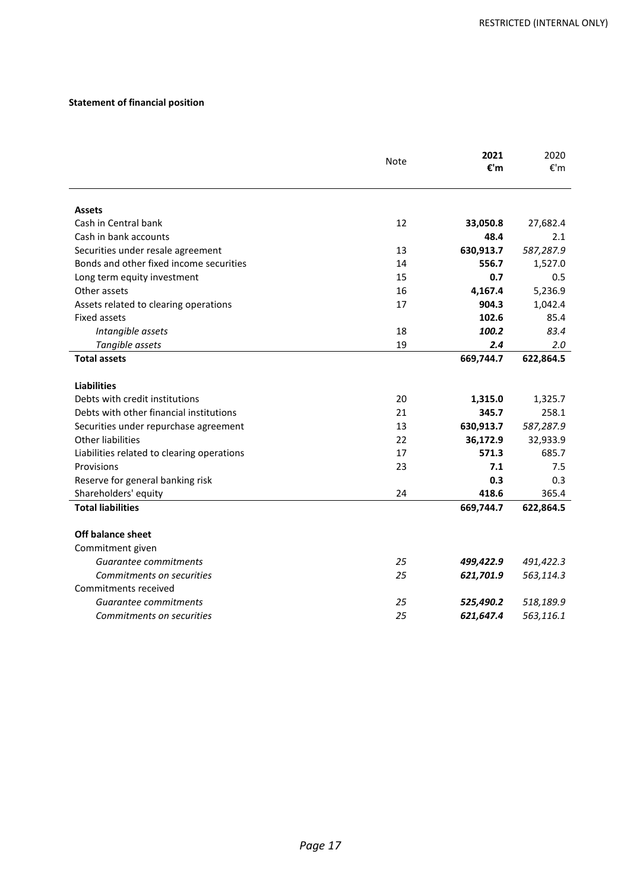## **Statement of financial position**

|                                            | Note | 2021      | 2020      |
|--------------------------------------------|------|-----------|-----------|
|                                            |      | €'m       | €'m       |
|                                            |      |           |           |
| <b>Assets</b>                              |      |           |           |
| Cash in Central bank                       | 12   | 33,050.8  | 27,682.4  |
| Cash in bank accounts                      |      | 48.4      | 2.1       |
| Securities under resale agreement          | 13   | 630,913.7 | 587,287.9 |
| Bonds and other fixed income securities    | 14   | 556.7     | 1,527.0   |
| Long term equity investment                | 15   | 0.7       | 0.5       |
| Other assets                               | 16   | 4,167.4   | 5,236.9   |
| Assets related to clearing operations      | 17   | 904.3     | 1,042.4   |
| <b>Fixed assets</b>                        |      | 102.6     | 85.4      |
| Intangible assets                          | 18   | 100.2     | 83.4      |
| Tangible assets                            | 19   | 2.4       | 2.0       |
| <b>Total assets</b>                        |      | 669,744.7 | 622,864.5 |
|                                            |      |           |           |
| <b>Liabilities</b>                         |      |           |           |
| Debts with credit institutions             | 20   | 1,315.0   | 1,325.7   |
| Debts with other financial institutions    | 21   | 345.7     | 258.1     |
| Securities under repurchase agreement      | 13   | 630,913.7 | 587,287.9 |
| <b>Other liabilities</b>                   | 22   | 36,172.9  | 32,933.9  |
| Liabilities related to clearing operations | 17   | 571.3     | 685.7     |
| Provisions                                 | 23   | 7.1       | 7.5       |
| Reserve for general banking risk           |      | 0.3       | 0.3       |
| Shareholders' equity                       | 24   | 418.6     | 365.4     |
| <b>Total liabilities</b>                   |      | 669,744.7 | 622,864.5 |
| Off balance sheet                          |      |           |           |
| Commitment given                           |      |           |           |
| Guarantee commitments                      | 25   | 499,422.9 | 491,422.3 |
| Commitments on securities                  | 25   | 621,701.9 | 563,114.3 |
| Commitments received                       |      |           |           |
| Guarantee commitments                      | 25   | 525,490.2 | 518,189.9 |
| Commitments on securities                  | 25   | 621,647.4 | 563,116.1 |
|                                            |      |           |           |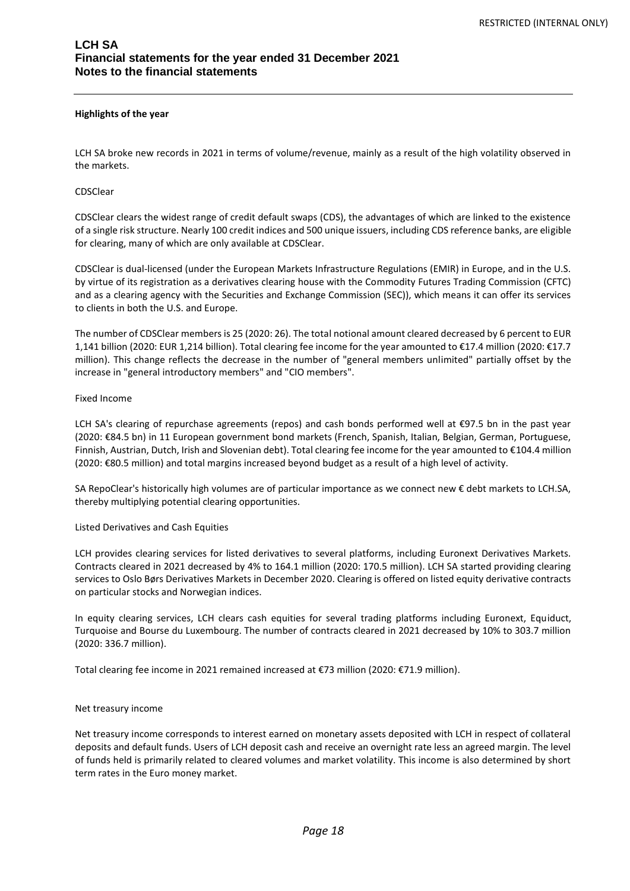#### **Highlights of the year**

LCH SA broke new records in 2021 in terms of volume/revenue, mainly as a result of the high volatility observed in the markets.

#### CDSClear

CDSClear clears the widest range of credit default swaps (CDS), the advantages of which are linked to the existence of a single risk structure. Nearly 100 credit indices and 500 unique issuers, including CDS reference banks, are eligible for clearing, many of which are only available at CDSClear.

CDSClear is dual-licensed (under the European Markets Infrastructure Regulations (EMIR) in Europe, and in the U.S. by virtue of its registration as a derivatives clearing house with the Commodity Futures Trading Commission (CFTC) and as a clearing agency with the Securities and Exchange Commission (SEC)), which means it can offer its services to clients in both the U.S. and Europe.

The number of CDSClear members is 25 (2020: 26). The total notional amount cleared decreased by 6 percent to EUR 1,141 billion (2020: EUR 1,214 billion). Total clearing fee income for the year amounted to €17.4 million (2020: €17.7 million). This change reflects the decrease in the number of "general members unlimited" partially offset by the increase in "general introductory members" and "CIO members".

#### Fixed Income

LCH SA's clearing of repurchase agreements (repos) and cash bonds performed well at €97.5 bn in the past year (2020: €84.5 bn) in 11 European government bond markets (French, Spanish, Italian, Belgian, German, Portuguese, Finnish, Austrian, Dutch, Irish and Slovenian debt). Total clearing fee income for the year amounted to €104.4 million (2020: €80.5 million) and total margins increased beyond budget as a result of a high level of activity.

SA RepoClear's historically high volumes are of particular importance as we connect new € debt markets to LCH.SA, thereby multiplying potential clearing opportunities.

## Listed Derivatives and Cash Equities

LCH provides clearing services for listed derivatives to several platforms, including Euronext Derivatives Markets. Contracts cleared in 2021 decreased by 4% to 164.1 million (2020: 170.5 million). LCH SA started providing clearing services to Oslo Børs Derivatives Markets in December 2020. Clearing is offered on listed equity derivative contracts on particular stocks and Norwegian indices.

In equity clearing services, LCH clears cash equities for several trading platforms including Euronext, Equiduct, Turquoise and Bourse du Luxembourg. The number of contracts cleared in 2021 decreased by 10% to 303.7 million (2020: 336.7 million).

Total clearing fee income in 2021 remained increased at €73 million (2020: €71.9 million).

## Net treasury income

Net treasury income corresponds to interest earned on monetary assets deposited with LCH in respect of collateral deposits and default funds. Users of LCH deposit cash and receive an overnight rate less an agreed margin. The level of funds held is primarily related to cleared volumes and market volatility. This income is also determined by short term rates in the Euro money market.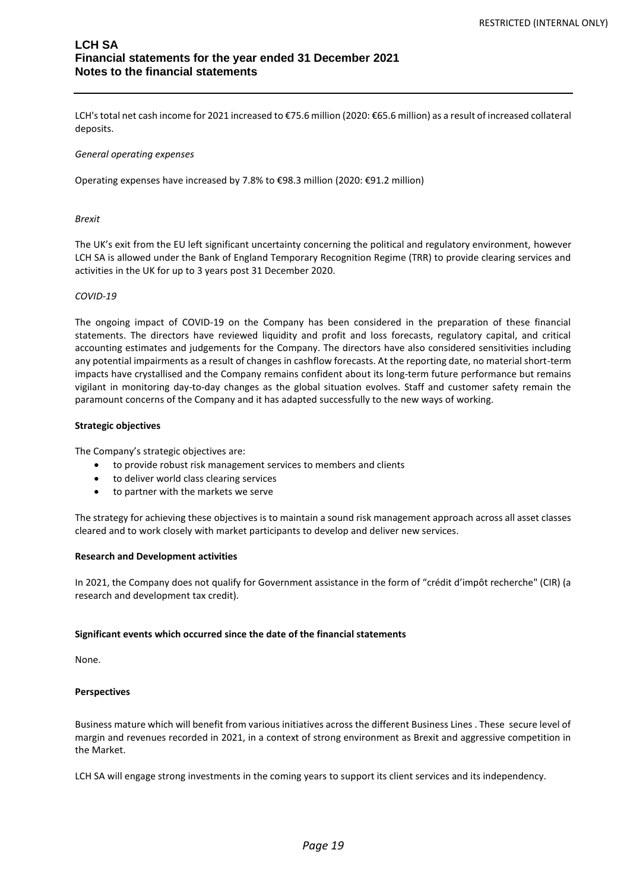## **LCH SA Financial statements for the year ended 31 December 2021 Notes to the financial statements**

LCH's total net cash income for 2021 increased to €75.6 million (2020: €65.6 million) as a result of increased collateral deposits.

## *General operating expenses*

Operating expenses have increased by 7.8% to €98.3 million (2020: €91.2 million)

#### *Brexit*

The UK's exit from the EU left significant uncertainty concerning the political and regulatory environment, however LCH SA is allowed under the Bank of England Temporary Recognition Regime (TRR) to provide clearing services and activities in the UK for up to 3 years post 31 December 2020.

#### *COVID-19*

The ongoing impact of COVID-19 on the Company has been considered in the preparation of these financial statements. The directors have reviewed liquidity and profit and loss forecasts, regulatory capital, and critical accounting estimates and judgements for the Company. The directors have also considered sensitivities including any potential impairments as a result of changes in cashflow forecasts. At the reporting date, no material short-term impacts have crystallised and the Company remains confident about its long-term future performance but remains vigilant in monitoring day-to-day changes as the global situation evolves. Staff and customer safety remain the paramount concerns of the Company and it has adapted successfully to the new ways of working.

#### **Strategic objectives**

The Company's strategic objectives are:

- to provide robust risk management services to members and clients
- to deliver world class clearing services
- to partner with the markets we serve

The strategy for achieving these objectives is to maintain a sound risk management approach across all asset classes cleared and to work closely with market participants to develop and deliver new services.

#### **Research and Development activities**

In 2021, the Company does not qualify for Government assistance in the form of "crédit d'impôt recherche" (CIR) (a research and development tax credit).

#### **Significant events which occurred since the date of the financial statements**

None.

## **Perspectives**

Business mature which will benefit from various initiatives across the different Business Lines . These secure level of margin and revenues recorded in 2021, in a context of strong environment as Brexit and aggressive competition in the Market.

LCH SA will engage strong investments in the coming years to support its client services and its independency.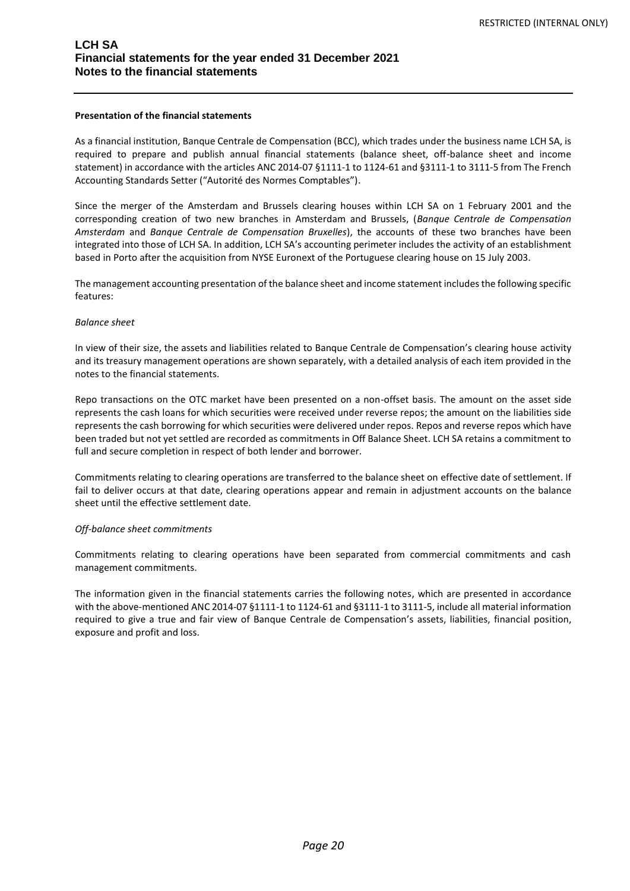#### **Presentation of the financial statements**

As a financial institution, Banque Centrale de Compensation (BCC), which trades under the business name LCH SA, is required to prepare and publish annual financial statements (balance sheet, off-balance sheet and income statement) in accordance with the articles ANC 2014-07 §1111-1 to 1124-61 and §3111-1 to 3111-5 from The French Accounting Standards Setter ("Autorité des Normes Comptables").

Since the merger of the Amsterdam and Brussels clearing houses within LCH SA on 1 February 2001 and the corresponding creation of two new branches in Amsterdam and Brussels, (*Banque Centrale de Compensation Amsterdam* and *Banque Centrale de Compensation Bruxelles*), the accounts of these two branches have been integrated into those of LCH SA. In addition, LCH SA's accounting perimeter includes the activity of an establishment based in Porto after the acquisition from NYSE Euronext of the Portuguese clearing house on 15 July 2003.

The management accounting presentation of the balance sheet and income statement includes the following specific features:

#### *Balance sheet*

In view of their size, the assets and liabilities related to Banque Centrale de Compensation's clearing house activity and its treasury management operations are shown separately, with a detailed analysis of each item provided in the notes to the financial statements.

Repo transactions on the OTC market have been presented on a non-offset basis. The amount on the asset side represents the cash loans for which securities were received under reverse repos; the amount on the liabilities side represents the cash borrowing for which securities were delivered under repos. Repos and reverse repos which have been traded but not yet settled are recorded as commitments in Off Balance Sheet. LCH SA retains a commitment to full and secure completion in respect of both lender and borrower.

Commitments relating to clearing operations are transferred to the balance sheet on effective date of settlement. If fail to deliver occurs at that date, clearing operations appear and remain in adjustment accounts on the balance sheet until the effective settlement date.

## *Off-balance sheet commitments*

Commitments relating to clearing operations have been separated from commercial commitments and cash management commitments.

The information given in the financial statements carries the following notes, which are presented in accordance with the above-mentioned ANC 2014-07 §1111-1 to 1124-61 and §3111-1 to 3111-5, include all material information required to give a true and fair view of Banque Centrale de Compensation's assets, liabilities, financial position, exposure and profit and loss.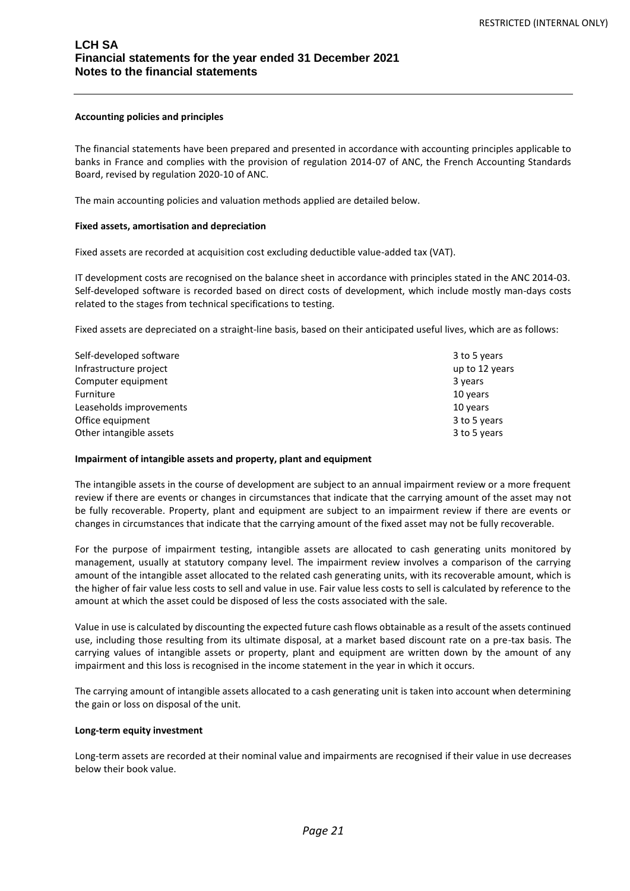#### **Accounting policies and principles**

The financial statements have been prepared and presented in accordance with accounting principles applicable to banks in France and complies with the provision of regulation 2014-07 of ANC, the French Accounting Standards Board, revised by regulation 2020-10 of ANC.

The main accounting policies and valuation methods applied are detailed below.

#### **Fixed assets, amortisation and depreciation**

Fixed assets are recorded at acquisition cost excluding deductible value-added tax (VAT).

IT development costs are recognised on the balance sheet in accordance with principles stated in the ANC 2014-03. Self-developed software is recorded based on direct costs of development, which include mostly man-days costs related to the stages from technical specifications to testing.

Fixed assets are depreciated on a straight-line basis, based on their anticipated useful lives, which are as follows:

| Self-developed software | 3 to 5 years   |
|-------------------------|----------------|
| Infrastructure project  | up to 12 years |
| Computer equipment      | 3 years        |
| Furniture               | 10 years       |
| Leaseholds improvements | 10 years       |
| Office equipment        | 3 to 5 years   |
| Other intangible assets | 3 to 5 years   |

#### **Impairment of intangible assets and property, plant and equipment**

The intangible assets in the course of development are subject to an annual impairment review or a more frequent review if there are events or changes in circumstances that indicate that the carrying amount of the asset may not be fully recoverable. Property, plant and equipment are subject to an impairment review if there are events or changes in circumstances that indicate that the carrying amount of the fixed asset may not be fully recoverable.

For the purpose of impairment testing, intangible assets are allocated to cash generating units monitored by management, usually at statutory company level. The impairment review involves a comparison of the carrying amount of the intangible asset allocated to the related cash generating units, with its recoverable amount, which is the higher of fair value less costs to sell and value in use. Fair value less costs to sell is calculated by reference to the amount at which the asset could be disposed of less the costs associated with the sale.

Value in use is calculated by discounting the expected future cash flows obtainable as a result of the assets continued use, including those resulting from its ultimate disposal, at a market based discount rate on a pre-tax basis. The carrying values of intangible assets or property, plant and equipment are written down by the amount of any impairment and this loss is recognised in the income statement in the year in which it occurs.

The carrying amount of intangible assets allocated to a cash generating unit is taken into account when determining the gain or loss on disposal of the unit.

#### **Long-term equity investment**

Long-term assets are recorded at their nominal value and impairments are recognised if their value in use decreases below their book value.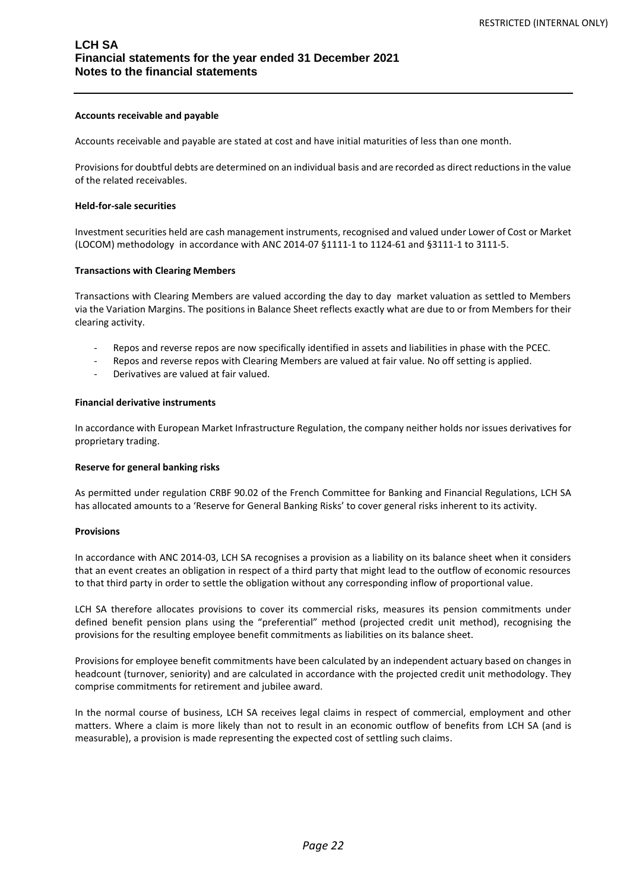#### **Accounts receivable and payable**

Accounts receivable and payable are stated at cost and have initial maturities of less than one month.

Provisions for doubtful debts are determined on an individual basis and are recorded as direct reductions in the value of the related receivables.

#### **Held-for-sale securities**

Investment securities held are cash management instruments, recognised and valued under Lower of Cost or Market (LOCOM) methodology in accordance with ANC 2014-07 §1111-1 to 1124-61 and §3111-1 to 3111-5.

#### **Transactions with Clearing Members**

Transactions with Clearing Members are valued according the day to day market valuation as settled to Members via the Variation Margins. The positions in Balance Sheet reflects exactly what are due to or from Members for their clearing activity.

- Repos and reverse repos are now specifically identified in assets and liabilities in phase with the PCEC.
- Repos and reverse repos with Clearing Members are valued at fair value. No off setting is applied.
- Derivatives are valued at fair valued.

#### **Financial derivative instruments**

In accordance with European Market Infrastructure Regulation, the company neither holds nor issues derivatives for proprietary trading.

#### **Reserve for general banking risks**

As permitted under regulation CRBF 90.02 of the French Committee for Banking and Financial Regulations, LCH SA has allocated amounts to a 'Reserve for General Banking Risks' to cover general risks inherent to its activity.

#### **Provisions**

In accordance with ANC 2014-03, LCH SA recognises a provision as a liability on its balance sheet when it considers that an event creates an obligation in respect of a third party that might lead to the outflow of economic resources to that third party in order to settle the obligation without any corresponding inflow of proportional value.

LCH SA therefore allocates provisions to cover its commercial risks, measures its pension commitments under defined benefit pension plans using the "preferential" method (projected credit unit method), recognising the provisions for the resulting employee benefit commitments as liabilities on its balance sheet.

Provisions for employee benefit commitments have been calculated by an independent actuary based on changes in headcount (turnover, seniority) and are calculated in accordance with the projected credit unit methodology. They comprise commitments for retirement and jubilee award.

In the normal course of business, LCH SA receives legal claims in respect of commercial, employment and other matters. Where a claim is more likely than not to result in an economic outflow of benefits from LCH SA (and is measurable), a provision is made representing the expected cost of settling such claims.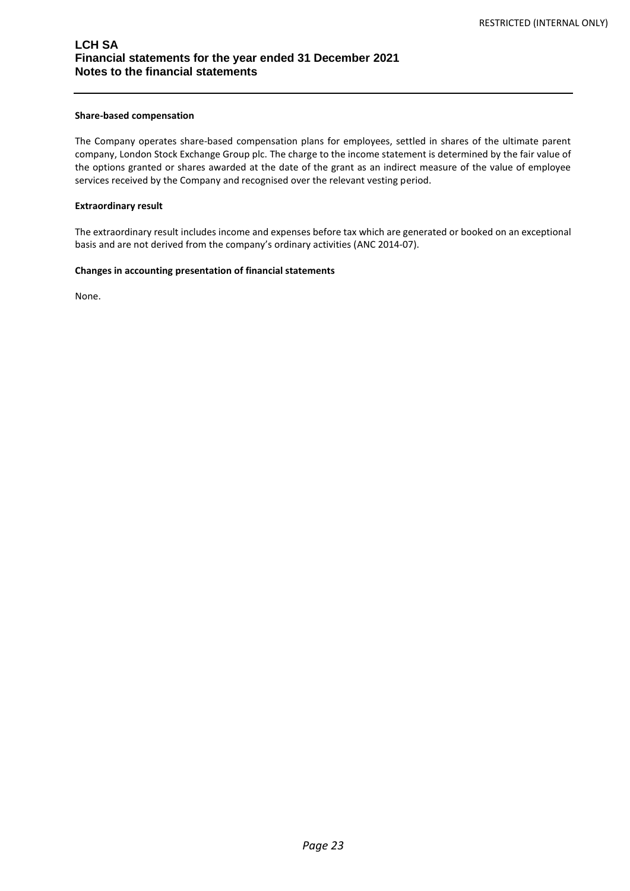#### **Share-based compensation**

The Company operates share-based compensation plans for employees, settled in shares of the ultimate parent company, London Stock Exchange Group plc. The charge to the income statement is determined by the fair value of the options granted or shares awarded at the date of the grant as an indirect measure of the value of employee services received by the Company and recognised over the relevant vesting period.

#### **Extraordinary result**

The extraordinary result includes income and expenses before tax which are generated or booked on an exceptional basis and are not derived from the company's ordinary activities (ANC 2014-07).

### **Changes in accounting presentation of financial statements**

None.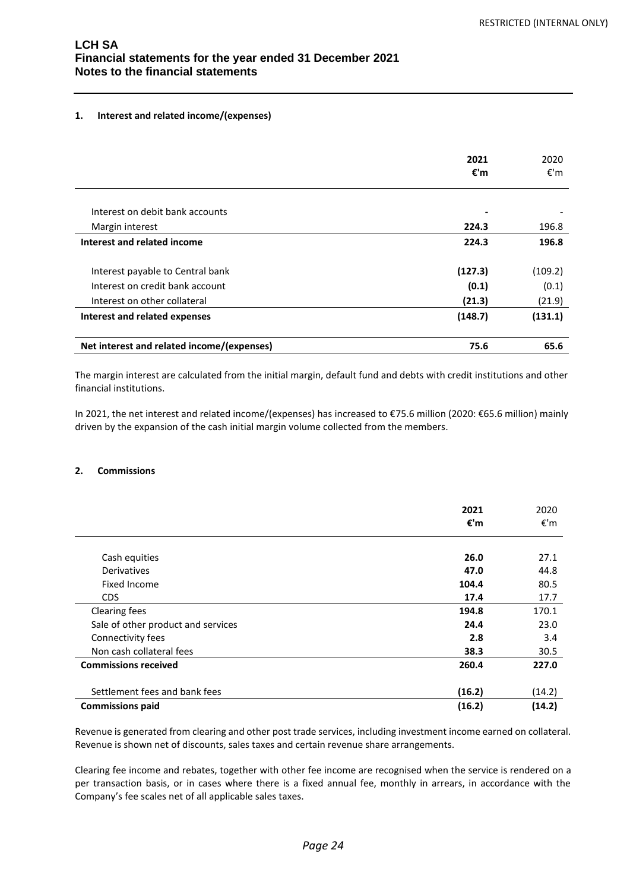## **1. Interest and related income/(expenses)**

|                                            | 2021<br>€'m | 2020<br>€'m |
|--------------------------------------------|-------------|-------------|
|                                            |             |             |
| Interest on debit bank accounts            |             |             |
| Margin interest                            | 224.3       | 196.8       |
| Interest and related income                | 224.3       | 196.8       |
|                                            |             |             |
| Interest payable to Central bank           | (127.3)     | (109.2)     |
| Interest on credit bank account            | (0.1)       | (0.1)       |
| Interest on other collateral               | (21.3)      | (21.9)      |
| Interest and related expenses              | (148.7)     | (131.1)     |
| Net interest and related income/(expenses) | 75.6        | 65.6        |

The margin interest are calculated from the initial margin, default fund and debts with credit institutions and other financial institutions.

In 2021, the net interest and related income/(expenses) has increased to €75.6 million (2020: €65.6 million) mainly driven by the expansion of the cash initial margin volume collected from the members.

## **2. Commissions**

|                                    | 2021<br>€'m | 2020<br>€'m |
|------------------------------------|-------------|-------------|
|                                    |             |             |
| Cash equities                      | 26.0        | 27.1        |
| Derivatives                        | 47.0        | 44.8        |
| Fixed Income                       | 104.4       | 80.5        |
| CDS                                | 17.4        | 17.7        |
| <b>Clearing fees</b>               | 194.8       | 170.1       |
| Sale of other product and services | 24.4        | 23.0        |
| Connectivity fees                  | 2.8         | 3.4         |
| Non cash collateral fees           | 38.3        | 30.5        |
| <b>Commissions received</b>        | 260.4       | 227.0       |
| Settlement fees and bank fees      | (16.2)      | (14.2)      |
| <b>Commissions paid</b>            | (16.2)      | (14.2)      |

Revenue is generated from clearing and other post trade services, including investment income earned on collateral. Revenue is shown net of discounts, sales taxes and certain revenue share arrangements.

Clearing fee income and rebates, together with other fee income are recognised when the service is rendered on a per transaction basis, or in cases where there is a fixed annual fee, monthly in arrears, in accordance with the Company's fee scales net of all applicable sales taxes.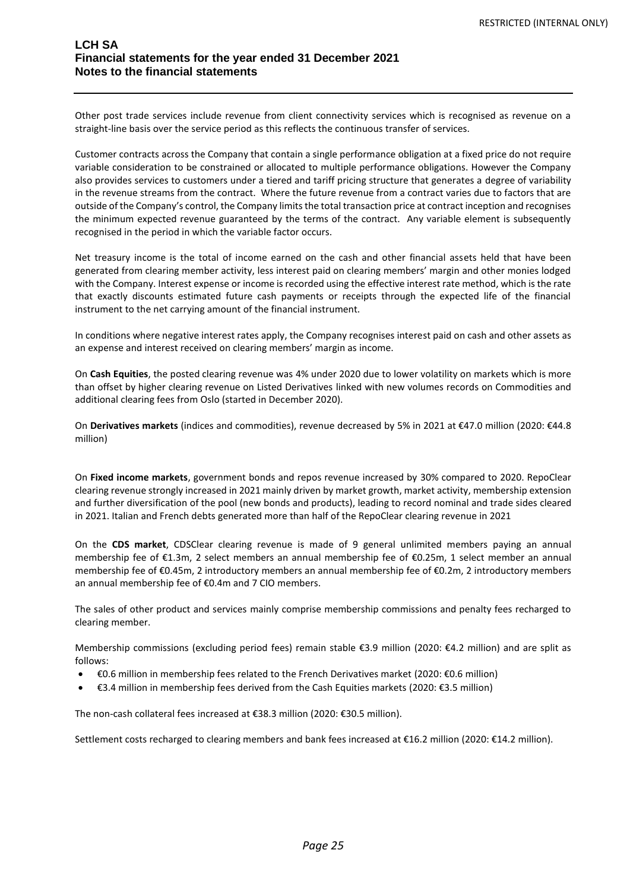Other post trade services include revenue from client connectivity services which is recognised as revenue on a straight-line basis over the service period as this reflects the continuous transfer of services.

Customer contracts across the Company that contain a single performance obligation at a fixed price do not require variable consideration to be constrained or allocated to multiple performance obligations. However the Company also provides services to customers under a tiered and tariff pricing structure that generates a degree of variability in the revenue streams from the contract. Where the future revenue from a contract varies due to factors that are outside of the Company's control, the Company limits the total transaction price at contract inception and recognises the minimum expected revenue guaranteed by the terms of the contract. Any variable element is subsequently recognised in the period in which the variable factor occurs.

Net treasury income is the total of income earned on the cash and other financial assets held that have been generated from clearing member activity, less interest paid on clearing members' margin and other monies lodged with the Company. Interest expense or income is recorded using the effective interest rate method, which is the rate that exactly discounts estimated future cash payments or receipts through the expected life of the financial instrument to the net carrying amount of the financial instrument.

In conditions where negative interest rates apply, the Company recognises interest paid on cash and other assets as an expense and interest received on clearing members' margin as income.

On **Cash Equities**, the posted clearing revenue was 4% under 2020 due to lower volatility on markets which is more than offset by higher clearing revenue on Listed Derivatives linked with new volumes records on Commodities and additional clearing fees from Oslo (started in December 2020).

On **Derivatives markets** (indices and commodities), revenue decreased by 5% in 2021 at €47.0 million (2020: €44.8 million)

On **Fixed income markets**, government bonds and repos revenue increased by 30% compared to 2020. RepoClear clearing revenue strongly increased in 2021 mainly driven by market growth, market activity, membership extension and further diversification of the pool (new bonds and products), leading to record nominal and trade sides cleared in 2021. Italian and French debts generated more than half of the RepoClear clearing revenue in 2021

On the **CDS market**, CDSClear clearing revenue is made of 9 general unlimited members paying an annual membership fee of €1.3m, 2 select members an annual membership fee of €0.25m, 1 select member an annual membership fee of €0.45m, 2 introductory members an annual membership fee of €0.2m, 2 introductory members an annual membership fee of €0.4m and 7 CIO members.

The sales of other product and services mainly comprise membership commissions and penalty fees recharged to clearing member.

Membership commissions (excluding period fees) remain stable €3.9 million (2020: €4.2 million) and are split as follows:

- €0.6 million in membership fees related to the French Derivatives market (2020: €0.6 million)
- €3.4 million in membership fees derived from the Cash Equities markets (2020: €3.5 million)

The non-cash collateral fees increased at €38.3 million (2020: €30.5 million).

Settlement costs recharged to clearing members and bank fees increased at €16.2 million (2020: €14.2 million).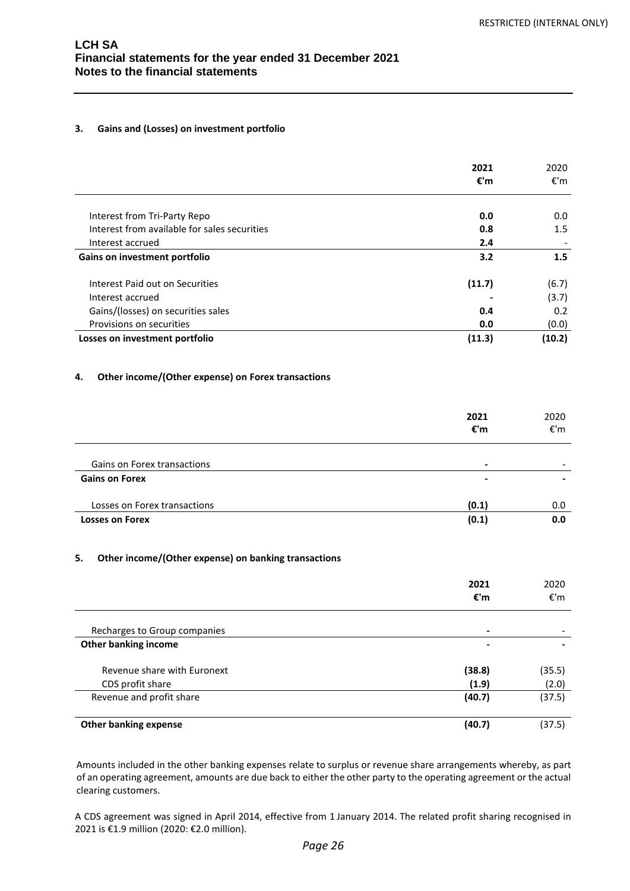## **3. Gains and (Losses) on investment portfolio**

|                                              | 2021<br>€'m | 2020<br>€'m |
|----------------------------------------------|-------------|-------------|
| Interest from Tri-Party Repo                 | 0.0         | 0.0         |
| Interest from available for sales securities | 0.8         | 1.5         |
| Interest accrued                             | 2.4         |             |
| Gains on investment portfolio                | 3.2         | 1.5         |
| Interest Paid out on Securities              | (11.7)      | (6.7)       |
| Interest accrued                             |             | (3.7)       |
| Gains/(losses) on securities sales           | 0.4         | 0.2         |
| Provisions on securities                     | 0.0         | (0.0)       |
| Losses on investment portfolio               | (11.3)      | (10.2)      |

## **4. Other income/(Other expense) on Forex transactions**

|                              | 2021<br>€'m | 2020<br>€'m              |
|------------------------------|-------------|--------------------------|
| Gains on Forex transactions  | -           | $\overline{\phantom{0}}$ |
| <b>Gains on Forex</b>        | -           |                          |
| Losses on Forex transactions | (0.1)       | 0.0                      |
| <b>Losses on Forex</b>       | (0.1)       | 0.0                      |

## **5. Other income/(Other expense) on banking transactions**

|                                                 | 2021<br>€'m     | 2020<br>€'m     |
|-------------------------------------------------|-----------------|-----------------|
| Recharges to Group companies                    | -               |                 |
| Other banking income                            |                 |                 |
| Revenue share with Euronext<br>CDS profit share | (38.8)<br>(1.9) | (35.5)<br>(2.0) |
| Revenue and profit share                        | (40.7)          | (37.5)          |
| <b>Other banking expense</b>                    | (40.7)          | (37.5)          |

Amounts included in the other banking expenses relate to surplus or revenue share arrangements whereby, as part of an operating agreement, amounts are due back to either the other party to the operating agreement or the actual clearing customers.

A CDS agreement was signed in April 2014, effective from 1 January 2014. The related profit sharing recognised in 2021 is €1.9 million (2020: €2.0 million).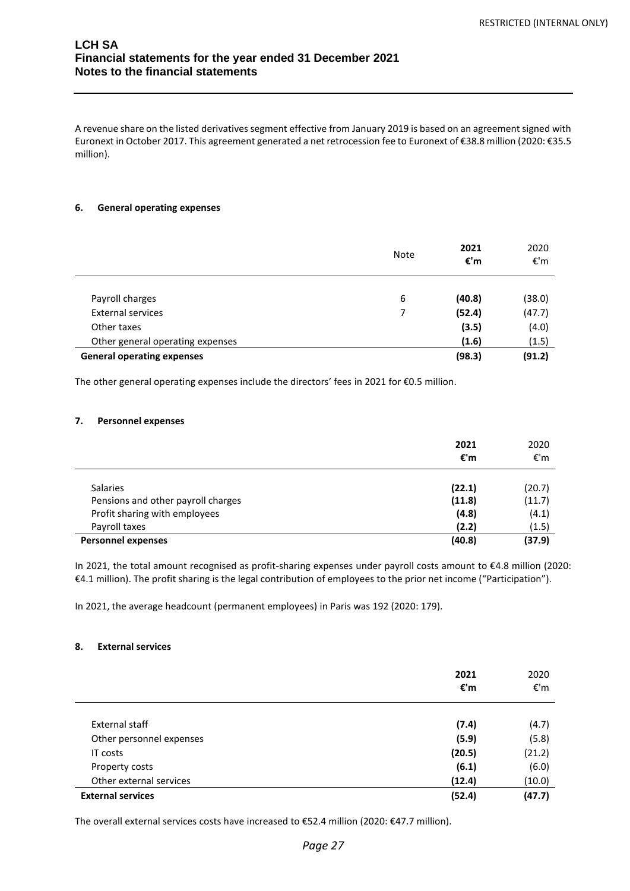A revenue share on the listed derivatives segment effective from January 2019 is based on an agreement signed with Euronext in October 2017. This agreement generated a net retrocession fee to Euronext of €38.8 million (2020: €35.5 million).

## **6. General operating expenses**

|                                   | Note | 2021<br>€'m | 2020<br>€'m |
|-----------------------------------|------|-------------|-------------|
|                                   |      |             |             |
| Payroll charges                   | 6    | (40.8)      | (38.0)      |
| <b>External services</b>          |      | (52.4)      | (47.7)      |
| Other taxes                       |      | (3.5)       | (4.0)       |
| Other general operating expenses  |      | (1.6)       | (1.5)       |
| <b>General operating expenses</b> |      | (98.3)      | (91.2)      |

The other general operating expenses include the directors' fees in 2021 for €0.5 million.

#### **7. Personnel expenses**

|                                    | 2021<br>€'m | 2020<br>€'m |
|------------------------------------|-------------|-------------|
| <b>Salaries</b>                    | (22.1)      | (20.7)      |
| Pensions and other payroll charges | (11.8)      | (11.7)      |
| Profit sharing with employees      | (4.8)       | (4.1)       |
| Payroll taxes                      | (2.2)       | (1.5)       |
| <b>Personnel expenses</b>          | (40.8)      | (37.9)      |

In 2021, the total amount recognised as profit-sharing expenses under payroll costs amount to €4.8 million (2020: €4.1 million). The profit sharing is the legal contribution of employees to the prior net income ("Participation").

In 2021, the average headcount (permanent employees) in Paris was 192 (2020: 179).

## **8. External services**

|                          | 2021<br>€'m | 2020<br>€'m    |
|--------------------------|-------------|----------------|
| External staff           | (7.4)       |                |
| Other personnel expenses | (5.9)       | (4.7)<br>(5.8) |
| IT costs                 | (20.5)      | (21.2)         |
| Property costs           | (6.1)       | (6.0)          |
| Other external services  | (12.4)      | (10.0)         |
| <b>External services</b> | (52.4)      | (47.7)         |

The overall external services costs have increased to €52.4 million (2020: €47.7 million).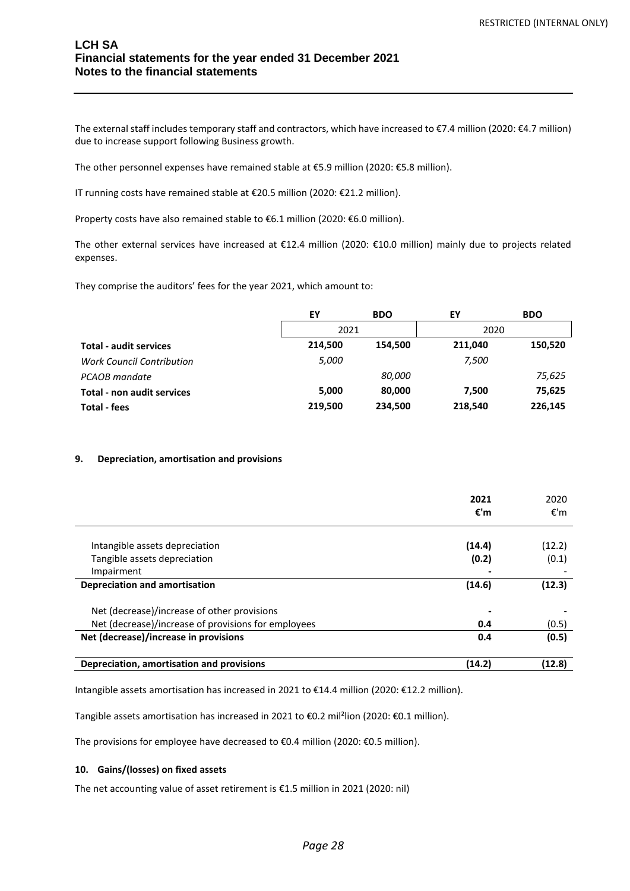The external staff includes temporary staff and contractors, which have increased to €7.4 million (2020: €4.7 million) due to increase support following Business growth.

The other personnel expenses have remained stable at €5.9 million (2020: €5.8 million).

IT running costs have remained stable at €20.5 million (2020: €21.2 million).

Property costs have also remained stable to €6.1 million (2020: €6.0 million).

The other external services have increased at €12.4 million (2020: €10.0 million) mainly due to projects related expenses.

They comprise the auditors' fees for the year 2021, which amount to:

|                                   | EY      | <b>BDO</b>    | EY      | <b>BDO</b> |
|-----------------------------------|---------|---------------|---------|------------|
|                                   | 2021    |               | 2020    |            |
| <b>Total - audit services</b>     | 214,500 | 154.500       | 211.040 | 150,520    |
| <b>Work Council Contribution</b>  | 5,000   |               | 7,500   |            |
| PCAOB mandate                     |         | <i>80,000</i> |         | 75,625     |
| <b>Total - non audit services</b> | 5,000   | 80,000        | 7,500   | 75,625     |
| <b>Total - fees</b>               | 219,500 | 234,500       | 218,540 | 226,145    |

## **9. Depreciation, amortisation and provisions**

|                                                     | 2021<br>€'m | 2020<br>€'m |
|-----------------------------------------------------|-------------|-------------|
| Intangible assets depreciation                      | (14.4)      | (12.2)      |
| Tangible assets depreciation                        | (0.2)       | (0.1)       |
| Impairment                                          |             |             |
| <b>Depreciation and amortisation</b>                | (14.6)      | (12.3)      |
| Net (decrease)/increase of other provisions         |             |             |
| Net (decrease)/increase of provisions for employees | 0.4         | (0.5)       |
| Net (decrease)/increase in provisions               | 0.4         | (0.5)       |
| Depreciation, amortisation and provisions           | (14.2)      | (12.8)      |

Intangible assets amortisation has increased in 2021 to €14.4 million (2020: €12.2 million).

Tangible assets amortisation has increased in 2021 to €0.2 mil²lion (2020: €0.1 million).

The provisions for employee have decreased to €0.4 million (2020: €0.5 million).

#### **10. Gains/(losses) on fixed assets**

The net accounting value of asset retirement is €1.5 million in 2021 (2020: nil)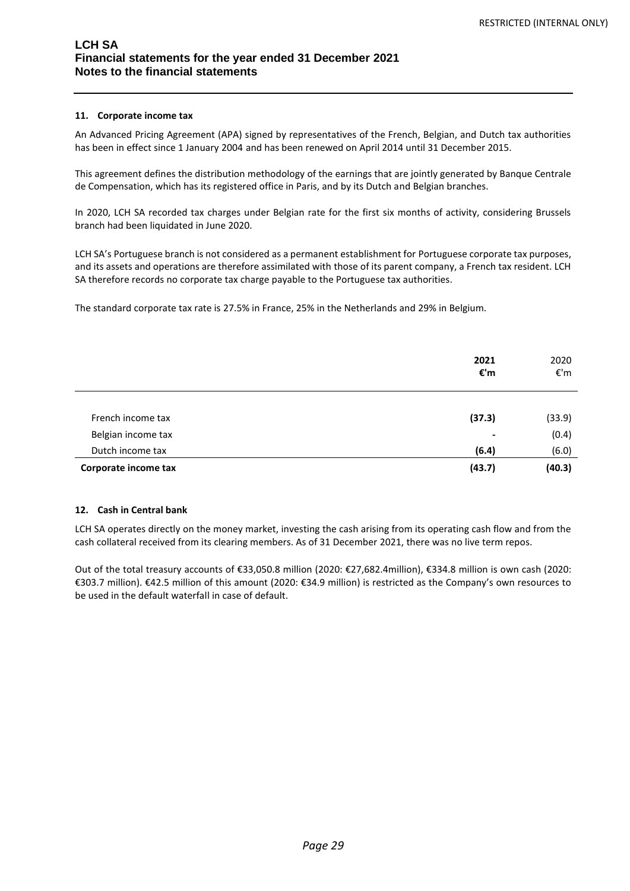## **11. Corporate income tax**

An Advanced Pricing Agreement (APA) signed by representatives of the French, Belgian, and Dutch tax authorities has been in effect since 1 January 2004 and has been renewed on April 2014 until 31 December 2015.

This agreement defines the distribution methodology of the earnings that are jointly generated by Banque Centrale de Compensation, which has its registered office in Paris, and by its Dutch and Belgian branches.

In 2020, LCH SA recorded tax charges under Belgian rate for the first six months of activity, considering Brussels branch had been liquidated in June 2020.

LCH SA's Portuguese branch is not considered as a permanent establishment for Portuguese corporate tax purposes, and its assets and operations are therefore assimilated with those of its parent company, a French tax resident. LCH SA therefore records no corporate tax charge payable to the Portuguese tax authorities.

The standard corporate tax rate is 27.5% in France, 25% in the Netherlands and 29% in Belgium.

|                      | 2021<br>€'m    | 2020<br>€'m |
|----------------------|----------------|-------------|
| French income tax    | (37.3)         | (33.9)      |
| Belgian income tax   | $\blacksquare$ | (0.4)       |
| Dutch income tax     | (6.4)          | (6.0)       |
| Corporate income tax | (43.7)         | (40.3)      |

## **12. Cash in Central bank**

LCH SA operates directly on the money market, investing the cash arising from its operating cash flow and from the cash collateral received from its clearing members. As of 31 December 2021, there was no live term repos.

Out of the total treasury accounts of €33,050.8 million (2020: €27,682.4million), €334.8 million is own cash (2020: €303.7 million). €42.5 million of this amount (2020: €34.9 million) is restricted as the Company's own resources to be used in the default waterfall in case of default.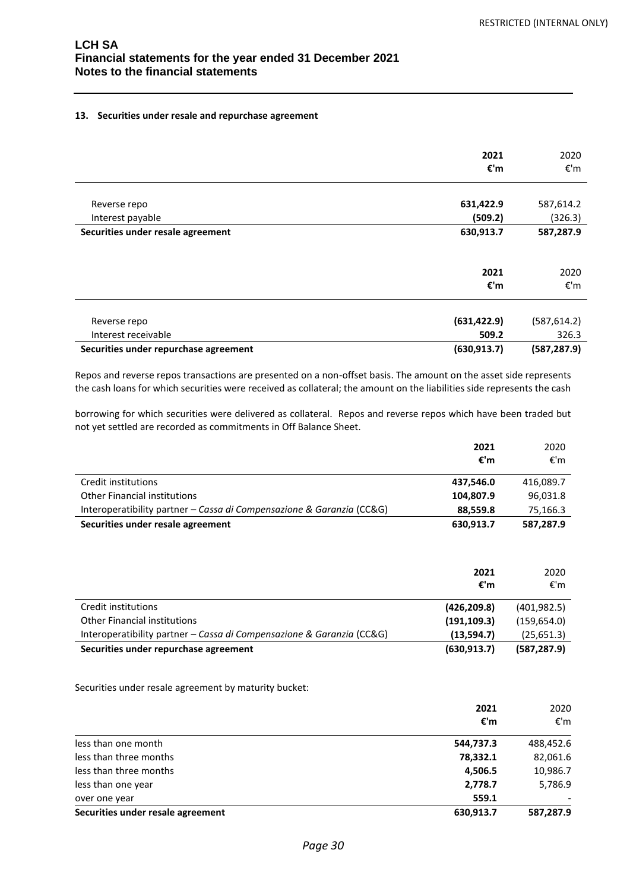#### **13. Securities under resale and repurchase agreement**

|                                       | 2021<br>€'m  | 2020<br>€'m  |
|---------------------------------------|--------------|--------------|
|                                       |              |              |
| Reverse repo                          | 631,422.9    | 587,614.2    |
| Interest payable                      | (509.2)      | (326.3)      |
| Securities under resale agreement     | 630,913.7    | 587,287.9    |
|                                       |              |              |
|                                       | 2021         | 2020         |
|                                       | €'m          | €'m          |
| Reverse repo                          | (631, 422.9) | (587, 614.2) |
| Interest receivable                   | 509.2        | 326.3        |
| Securities under repurchase agreement | (630, 913.7) | (587, 287.9) |

Repos and reverse repos transactions are presented on a non-offset basis. The amount on the asset side represents the cash loans for which securities were received as collateral; the amount on the liabilities side represents the cash

borrowing for which securities were delivered as collateral. Repos and reverse repos which have been traded but not yet settled are recorded as commitments in Off Balance Sheet.

|                                                                       | 2021<br>€'m | 2020<br>€'m |
|-----------------------------------------------------------------------|-------------|-------------|
|                                                                       |             |             |
| Credit institutions                                                   | 437,546.0   | 416,089.7   |
| <b>Other Financial institutions</b>                                   | 104,807.9   | 96,031.8    |
| Interoperatibility partner - Cassa di Compensazione & Garanzia (CC&G) | 88.559.8    | 75,166.3    |
| Securities under resale agreement                                     | 630.913.7   | 587,287.9   |

|                                                                       | 2021<br>€'m  | 2020<br>€'m  |
|-----------------------------------------------------------------------|--------------|--------------|
| Credit institutions                                                   | (426, 209.8) | (401, 982.5) |
| <b>Other Financial institutions</b>                                   | (191, 109.3) | (159, 654.0) |
| Interoperatibility partner - Cassa di Compensazione & Garanzia (CC&G) | (13,594.7)   | (25,651.3)   |
| Securities under repurchase agreement                                 | (630, 913.7) | (587, 287.9) |

Securities under resale agreement by maturity bucket:

|                                   | 2021<br>€'m | 2020<br>€'m |
|-----------------------------------|-------------|-------------|
| less than one month               | 544,737.3   | 488,452.6   |
| less than three months            | 78,332.1    | 82,061.6    |
| less than three months            | 4,506.5     | 10,986.7    |
| less than one year                | 2,778.7     | 5,786.9     |
| over one year                     | 559.1       |             |
| Securities under resale agreement | 630,913.7   | 587,287.9   |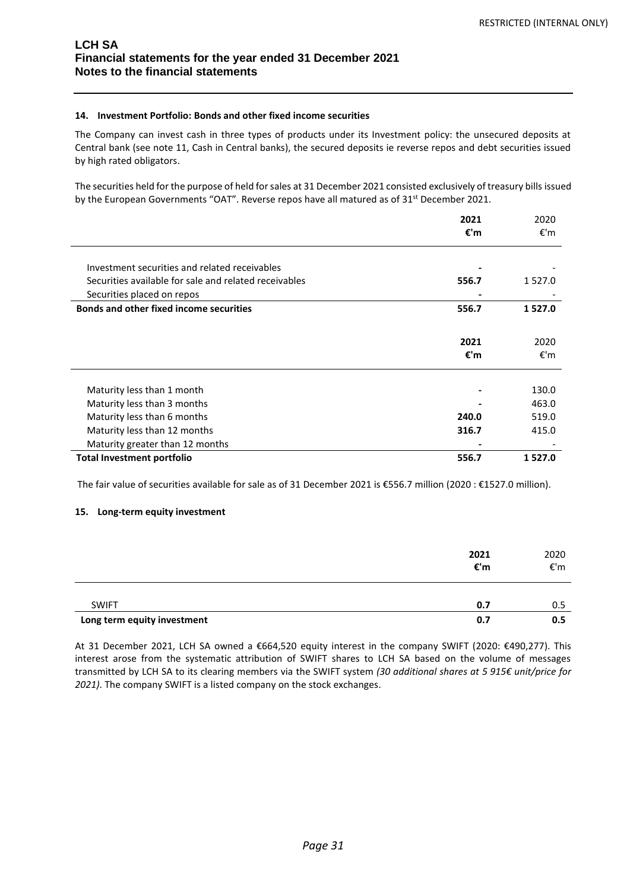## **14. Investment Portfolio: Bonds and other fixed income securities**

The Company can invest cash in three types of products under its Investment policy: the unsecured deposits at Central bank (see note 11, Cash in Central banks), the secured deposits ie reverse repos and debt securities issued by high rated obligators.

The securities held for the purpose of held for sales at 31 December 2021 consisted exclusively of treasury bills issued by the European Governments "OAT". Reverse repos have all matured as of 31<sup>st</sup> December 2021.

|                                                       | 2021<br>€'m | 2020<br>€'m |
|-------------------------------------------------------|-------------|-------------|
| Investment securities and related receivables         |             |             |
| Securities available for sale and related receivables | 556.7       | 1527.0      |
| Securities placed on repos                            |             |             |
| <b>Bonds and other fixed income securities</b>        | 556.7       | 1527.0      |
|                                                       | 2021<br>€'m | 2020<br>€'m |
| Maturity less than 1 month                            |             | 130.0       |
| Maturity less than 3 months                           |             | 463.0       |
| Maturity less than 6 months                           | 240.0       | 519.0       |
| Maturity less than 12 months                          | 316.7       | 415.0       |
| Maturity greater than 12 months                       |             |             |
| <b>Total Investment portfolio</b>                     | 556.7       | 1527.0      |

The fair value of securities available for sale as of 31 December 2021 is €556.7 million (2020 : €1527.0 million).

## **15. Long-term equity investment**

|                             | 2021<br>€'m | 2020<br>€'m |
|-----------------------------|-------------|-------------|
| <b>SWIFT</b>                | 0.7         | 0.5         |
| Long term equity investment | 0.7         | 0.5         |

At 31 December 2021, LCH SA owned a €664,520 equity interest in the company SWIFT (2020: €490,277). This interest arose from the systematic attribution of SWIFT shares to LCH SA based on the volume of messages transmitted by LCH SA to its clearing members via the SWIFT system *(30 additional shares at 5 915€ unit/price for 2021)*. The company SWIFT is a listed company on the stock exchanges.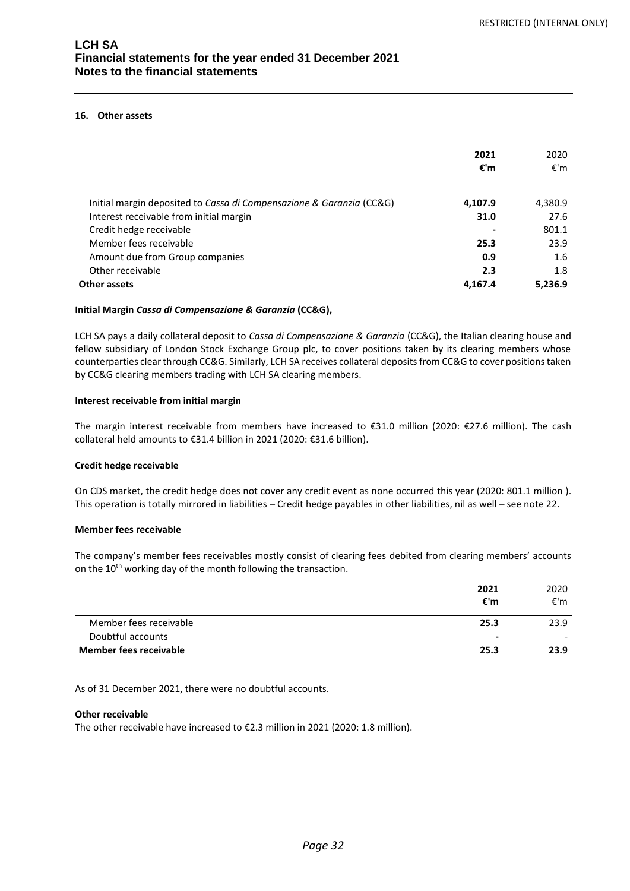## **16. Other assets**

|                                                                      | 2021<br>€'m | 2020<br>€'m |
|----------------------------------------------------------------------|-------------|-------------|
| Initial margin deposited to Cassa di Compensazione & Garanzia (CC&G) | 4,107.9     | 4,380.9     |
| Interest receivable from initial margin                              | 31.0        | 27.6        |
| Credit hedge receivable                                              |             | 801.1       |
| Member fees receivable                                               | 25.3        | 23.9        |
| Amount due from Group companies                                      | 0.9         | 1.6         |
| Other receivable                                                     | 2.3         | 1.8         |
| Other assets                                                         | 4.167.4     | 5.236.9     |

#### **Initial Margin** *Cassa di Compensazione & Garanzia* **(CC&G),**

LCH SA pays a daily collateral deposit to *Cassa di Compensazione & Garanzia* (CC&G), the Italian clearing house and fellow subsidiary of London Stock Exchange Group plc, to cover positions taken by its clearing members whose counterparties clear through CC&G. Similarly, LCH SA receives collateral deposits from CC&G to cover positions taken by CC&G clearing members trading with LCH SA clearing members.

#### **Interest receivable from initial margin**

The margin interest receivable from members have increased to €31.0 million (2020: €27.6 million). The cash collateral held amounts to €31.4 billion in 2021 (2020: €31.6 billion).

#### **Credit hedge receivable**

On CDS market, the credit hedge does not cover any credit event as none occurred this year (2020: 801.1 million ). This operation is totally mirrored in liabilities – Credit hedge payables in other liabilities, nil as well – see note 22.

## **Member fees receivable**

The company's member fees receivables mostly consist of clearing fees debited from clearing members' accounts on the 10<sup>th</sup> working day of the month following the transaction.

|                        | 2021           | 2020                     |
|------------------------|----------------|--------------------------|
|                        | €'m            | €'m                      |
| Member fees receivable | 25.3           | 23.9                     |
| Doubtful accounts      | $\blacksquare$ | $\overline{\phantom{0}}$ |
| Member fees receivable | 25.3           | 23.9                     |

As of 31 December 2021, there were no doubtful accounts.

#### **Other receivable**

The other receivable have increased to €2.3 million in 2021 (2020: 1.8 million).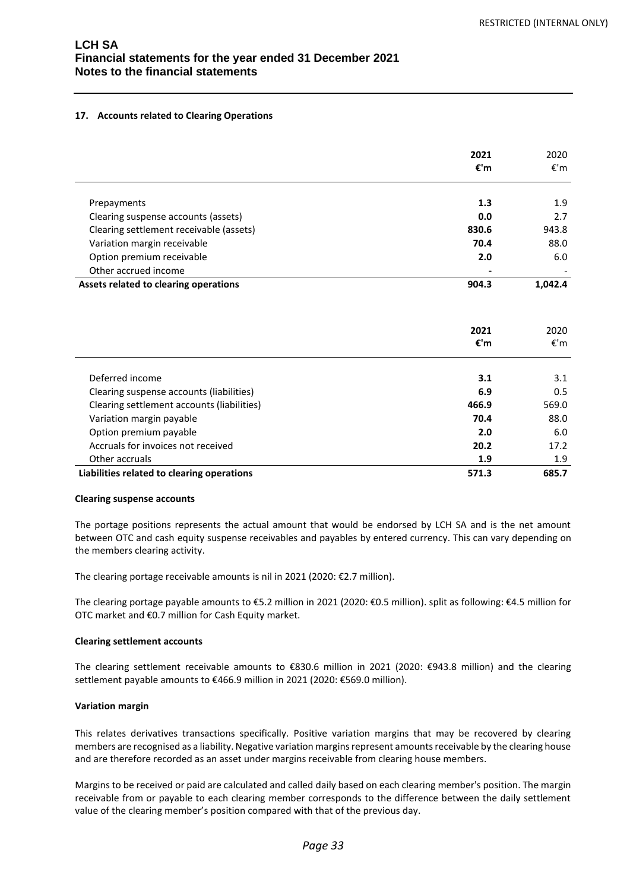## **17. Accounts related to Clearing Operations**

|                                            | 2021<br>€'m | 2020<br>€'m |
|--------------------------------------------|-------------|-------------|
| Prepayments                                | 1.3         | 1.9         |
| Clearing suspense accounts (assets)        | 0.0         | 2.7         |
| Clearing settlement receivable (assets)    | 830.6       | 943.8       |
| Variation margin receivable                | 70.4        | 88.0        |
| Option premium receivable                  | 2.0         | 6.0         |
| Other accrued income                       |             |             |
| Assets related to clearing operations      | 904.3       | 1,042.4     |
|                                            | 2021<br>€'m | 2020<br>€'m |
| Deferred income                            | 3.1         | 3.1         |
| Clearing suspense accounts (liabilities)   | 6.9         | 0.5         |
| Clearing settlement accounts (liabilities) | 466.9       | 569.0       |
| Variation margin payable                   | 70.4        | 88.0        |
| Option premium payable                     | 2.0         | 6.0         |
| Accruals for invoices not received         | 20.2        | 17.2        |
| Other accruals                             | 1.9         | 1.9         |
| Liabilities related to clearing operations | 571.3       | 685.7       |

#### **Clearing suspense accounts**

The portage positions represents the actual amount that would be endorsed by LCH SA and is the net amount between OTC and cash equity suspense receivables and payables by entered currency. This can vary depending on the members clearing activity.

The clearing portage receivable amounts is nil in 2021 (2020: €2.7 million).

The clearing portage payable amounts to €5.2 million in 2021 (2020: €0.5 million). split as following: €4.5 million for OTC market and €0.7 million for Cash Equity market.

## **Clearing settlement accounts**

The clearing settlement receivable amounts to €830.6 million in 2021 (2020: €943.8 million) and the clearing settlement payable amounts to €466.9 million in 2021 (2020: €569.0 million).

## **Variation margin**

This relates derivatives transactions specifically. Positive variation margins that may be recovered by clearing members are recognised as a liability. Negative variation margins represent amounts receivable by the clearing house and are therefore recorded as an asset under margins receivable from clearing house members.

Margins to be received or paid are calculated and called daily based on each clearing member's position. The margin receivable from or payable to each clearing member corresponds to the difference between the daily settlement value of the clearing member's position compared with that of the previous day.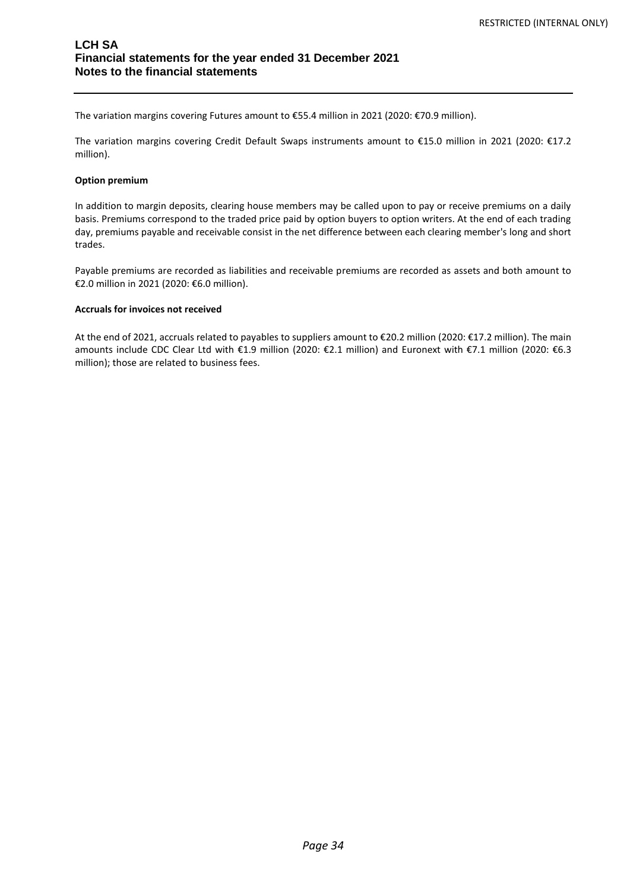The variation margins covering Futures amount to €55.4 million in 2021 (2020: €70.9 million).

The variation margins covering Credit Default Swaps instruments amount to €15.0 million in 2021 (2020: €17.2 million).

#### **Option premium**

In addition to margin deposits, clearing house members may be called upon to pay or receive premiums on a daily basis. Premiums correspond to the traded price paid by option buyers to option writers. At the end of each trading day, premiums payable and receivable consist in the net difference between each clearing member's long and short trades.

Payable premiums are recorded as liabilities and receivable premiums are recorded as assets and both amount to €2.0 million in 2021 (2020: €6.0 million).

## **Accruals for invoices not received**

At the end of 2021, accruals related to payables to suppliers amount to €20.2 million (2020: €17.2 million). The main amounts include CDC Clear Ltd with €1.9 million (2020: €2.1 million) and Euronext with €7.1 million (2020: €6.3 million); those are related to business fees.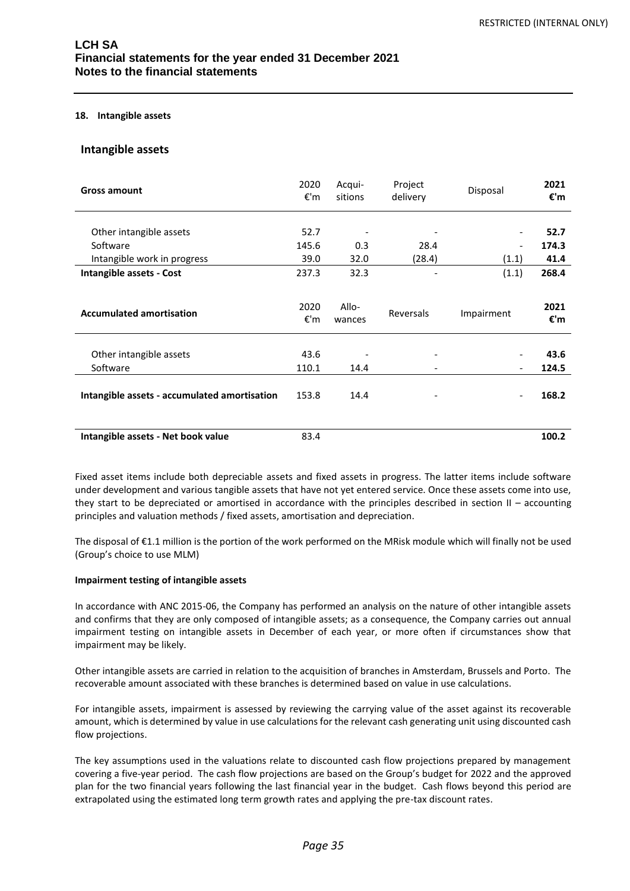#### **18. Intangible assets**

## **Intangible assets**

| <b>Gross amount</b>                                                | 2020<br>€'m           | Acqui-<br>sitions | Project<br>delivery      | Disposal   | 2021<br>€'m           |
|--------------------------------------------------------------------|-----------------------|-------------------|--------------------------|------------|-----------------------|
| Other intangible assets<br>Software<br>Intangible work in progress | 52.7<br>145.6<br>39.0 | 0.3<br>32.0       | 28.4<br>(28.4)           | (1.1)      | 52.7<br>174.3<br>41.4 |
| Intangible assets - Cost                                           | 237.3                 | 32.3              |                          | (1.1)      | 268.4                 |
| <b>Accumulated amortisation</b>                                    | 2020<br>€'m           | Allo-<br>wances   | Reversals                | Impairment | 2021<br>€'m           |
| Other intangible assets<br>Software                                | 43.6<br>110.1         | 14.4              | $\overline{\phantom{a}}$ |            | 43.6<br>124.5         |
| Intangible assets - accumulated amortisation                       | 153.8                 | 14.4              |                          |            | 168.2                 |
| Intangible assets - Net book value                                 | 83.4                  |                   |                          |            | 100.2                 |

Fixed asset items include both depreciable assets and fixed assets in progress. The latter items include software under development and various tangible assets that have not yet entered service. Once these assets come into use, they start to be depreciated or amortised in accordance with the principles described in section II – accounting principles and valuation methods / fixed assets, amortisation and depreciation.

The disposal of €1.1 million is the portion of the work performed on the MRisk module which will finally not be used (Group's choice to use MLM)

#### **Impairment testing of intangible assets**

In accordance with ANC 2015-06, the Company has performed an analysis on the nature of other intangible assets and confirms that they are only composed of intangible assets; as a consequence, the Company carries out annual impairment testing on intangible assets in December of each year, or more often if circumstances show that impairment may be likely.

Other intangible assets are carried in relation to the acquisition of branches in Amsterdam, Brussels and Porto. The recoverable amount associated with these branches is determined based on value in use calculations.

For intangible assets, impairment is assessed by reviewing the carrying value of the asset against its recoverable amount, which is determined by value in use calculations for the relevant cash generating unit using discounted cash flow projections.

The key assumptions used in the valuations relate to discounted cash flow projections prepared by management covering a five-year period. The cash flow projections are based on the Group's budget for 2022 and the approved plan for the two financial years following the last financial year in the budget. Cash flows beyond this period are extrapolated using the estimated long term growth rates and applying the pre-tax discount rates.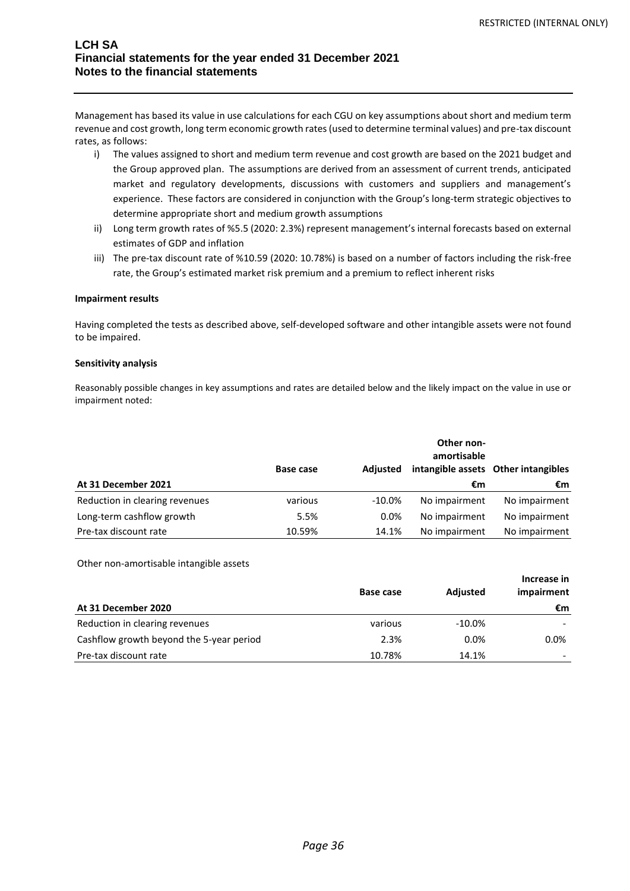Management has based its value in use calculations for each CGU on key assumptions about short and medium term revenue and cost growth, long term economic growth rates (used to determine terminal values) and pre-tax discount rates, as follows:

- i) The values assigned to short and medium term revenue and cost growth are based on the 2021 budget and the Group approved plan. The assumptions are derived from an assessment of current trends, anticipated market and regulatory developments, discussions with customers and suppliers and management's experience. These factors are considered in conjunction with the Group's long-term strategic objectives to determine appropriate short and medium growth assumptions
- ii) Long term growth rates of %5.5 (2020: 2.3%) represent management's internal forecasts based on external estimates of GDP and inflation
- iii) The pre-tax discount rate of %10.59 (2020: 10.78%) is based on a number of factors including the risk-free rate, the Group's estimated market risk premium and a premium to reflect inherent risks

## **Impairment results**

Having completed the tests as described above, self-developed software and other intangible assets were not found to be impaired.

## **Sensitivity analysis**

Reasonably possible changes in key assumptions and rates are detailed below and the likely impact on the value in use or impairment noted:

|                                | <b>Base case</b> | Adiusted  | Other non-<br>amortisable | intangible assets Other intangibles |
|--------------------------------|------------------|-----------|---------------------------|-------------------------------------|
| At 31 December 2021            |                  |           | €m                        | €m                                  |
| Reduction in clearing revenues | various          | $-10.0\%$ | No impairment             | No impairment                       |
| Long-term cashflow growth      | 5.5%             | $0.0\%$   | No impairment             | No impairment                       |
| Pre-tax discount rate          | 10.59%           | 14.1%     | No impairment             | No impairment                       |

Other non-amortisable intangible assets

|                                          | Base case | Adjusted  | Increase in<br>impairment |
|------------------------------------------|-----------|-----------|---------------------------|
| At 31 December 2020                      |           |           | €m                        |
| Reduction in clearing revenues           | various   | $-10.0\%$ |                           |
| Cashflow growth beyond the 5-year period | 2.3%      | $0.0\%$   | $0.0\%$                   |
| Pre-tax discount rate                    | 10.78%    | 14.1%     |                           |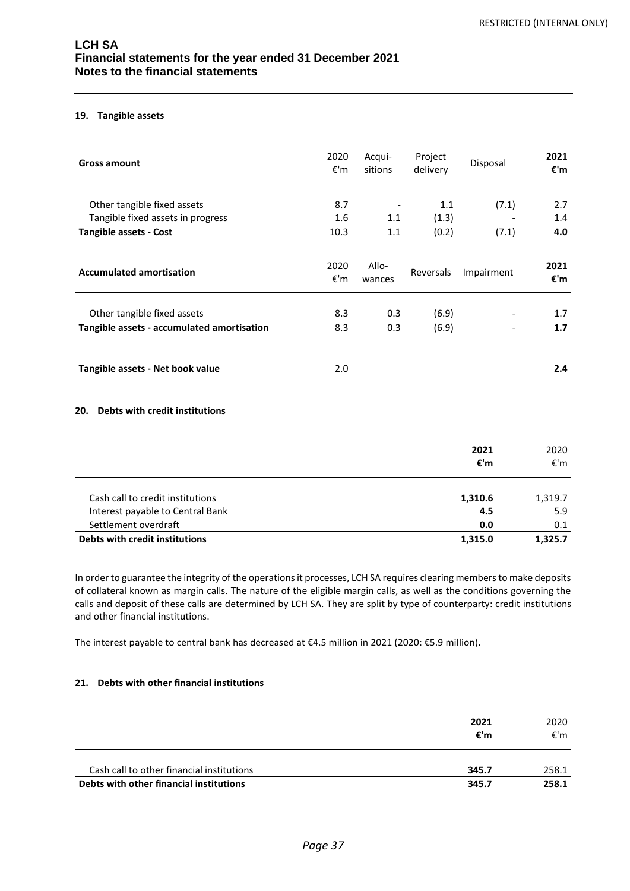## **19. Tangible assets**

| <b>Gross amount</b>                        | 2020<br>$\varepsilon$ 'm | Acqui-<br>sitions | Project<br>delivery | Disposal    | 2021<br>€'m              |
|--------------------------------------------|--------------------------|-------------------|---------------------|-------------|--------------------------|
| Other tangible fixed assets                | 8.7                      |                   | 1.1                 | (7.1)       | 2.7                      |
| Tangible fixed assets in progress          | 1.6                      | 1.1               | (1.3)               |             | 1.4                      |
| <b>Tangible assets - Cost</b>              | 10.3                     | $1.1\,$           | (0.2)               | (7.1)       | 4.0                      |
| <b>Accumulated amortisation</b>            | 2020<br>€'m              | Allo-<br>wances   | Reversals           | Impairment  | 2021<br>€'m              |
| Other tangible fixed assets                | 8.3                      | 0.3               | (6.9)               |             | 1.7                      |
| Tangible assets - accumulated amortisation | 8.3                      | 0.3               | (6.9)               |             | 1.7                      |
| Tangible assets - Net book value           | 2.0                      |                   |                     |             | 2.4                      |
| Debts with credit institutions<br>20.      |                          |                   |                     |             |                          |
|                                            |                          |                   |                     | 2021<br>€'m | 2020<br>$\varepsilon$ 'm |

| Cash call to credit institutions | 1,310.6 | 1,319.7 |
|----------------------------------|---------|---------|
| Interest payable to Central Bank | 4.5     | 5.9     |
| Settlement overdraft             | 0.0     | 0.1     |
| Debts with credit institutions   | 1.315.0 | 1.325.7 |

In order to guarantee the integrity of the operations it processes, LCH SA requires clearing members to make deposits of collateral known as margin calls. The nature of the eligible margin calls, as well as the conditions governing the calls and deposit of these calls are determined by LCH SA. They are split by type of counterparty: credit institutions and other financial institutions.

The interest payable to central bank has decreased at €4.5 million in 2021 (2020: €5.9 million).

## **21. Debts with other financial institutions**

|                                           | 2021<br>€'m | 2020<br>€'m |
|-------------------------------------------|-------------|-------------|
| Cash call to other financial institutions | 345.7       | 258.1       |
| Debts with other financial institutions   | 345.7       | 258.1       |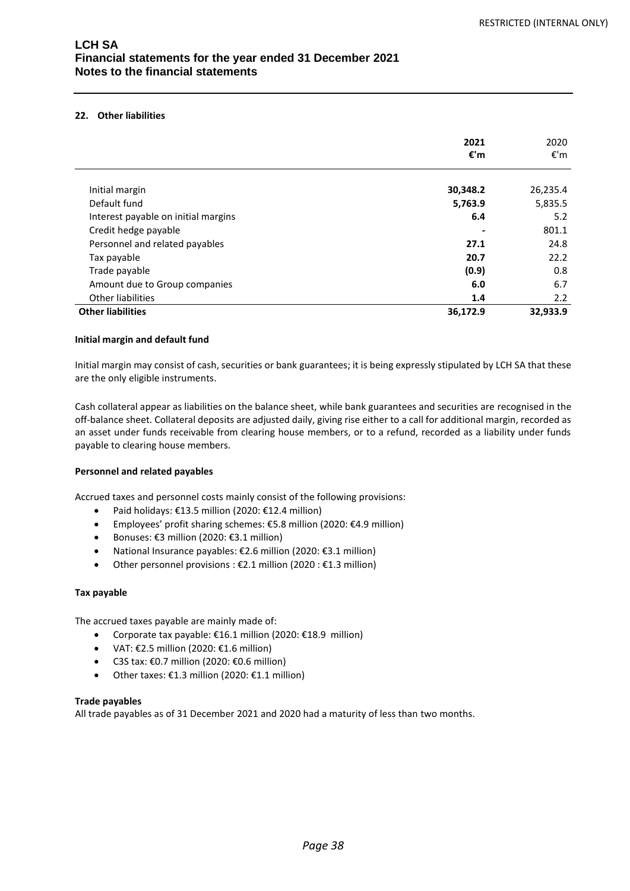## **22. Other liabilities**

|                                     | 2021     | 2020     |
|-------------------------------------|----------|----------|
|                                     | €'m      | €'m      |
|                                     |          |          |
| Initial margin                      | 30,348.2 | 26,235.4 |
| Default fund                        | 5,763.9  | 5,835.5  |
| Interest payable on initial margins | 6.4      | 5.2      |
| Credit hedge payable                |          | 801.1    |
| Personnel and related payables      | 27.1     | 24.8     |
| Tax payable                         | 20.7     | 22.2     |
| Trade payable                       | (0.9)    | 0.8      |
| Amount due to Group companies       | 6.0      | 6.7      |
| Other liabilities                   | 1.4      | 2.2      |
| <b>Other liabilities</b>            | 36,172.9 | 32,933.9 |

## **Initial margin and default fund**

Initial margin may consist of cash, securities or bank guarantees; it is being expressly stipulated by LCH SA that these are the only eligible instruments.

Cash collateral appear as liabilities on the balance sheet, while bank guarantees and securities are recognised in the off-balance sheet. Collateral deposits are adjusted daily, giving rise either to a call for additional margin, recorded as an asset under funds receivable from clearing house members, or to a refund, recorded as a liability under funds payable to clearing house members.

## **Personnel and related payables**

Accrued taxes and personnel costs mainly consist of the following provisions:

- Paid holidays: €13.5 million (2020: €12.4 million)
- Employees' profit sharing schemes: €5.8 million (2020: €4.9 million)
- Bonuses: €3 million (2020: €3.1 million)
- National Insurance payables: €2.6 million (2020: €3.1 million)
- Other personnel provisions : €2.1 million (2020 : €1.3 million)

## **Tax payable**

The accrued taxes payable are mainly made of:

- Corporate tax payable: €16.1 million (2020: €18.9 million)
- VAT:  $£2.5$  million (2020:  $£1.6$  million)
- C3S tax: €0.7 million (2020: €0.6 million)
- Other taxes: €1.3 million (2020: €1.1 million)

## **Trade payables**

All trade payables as of 31 December 2021 and 2020 had a maturity of less than two months.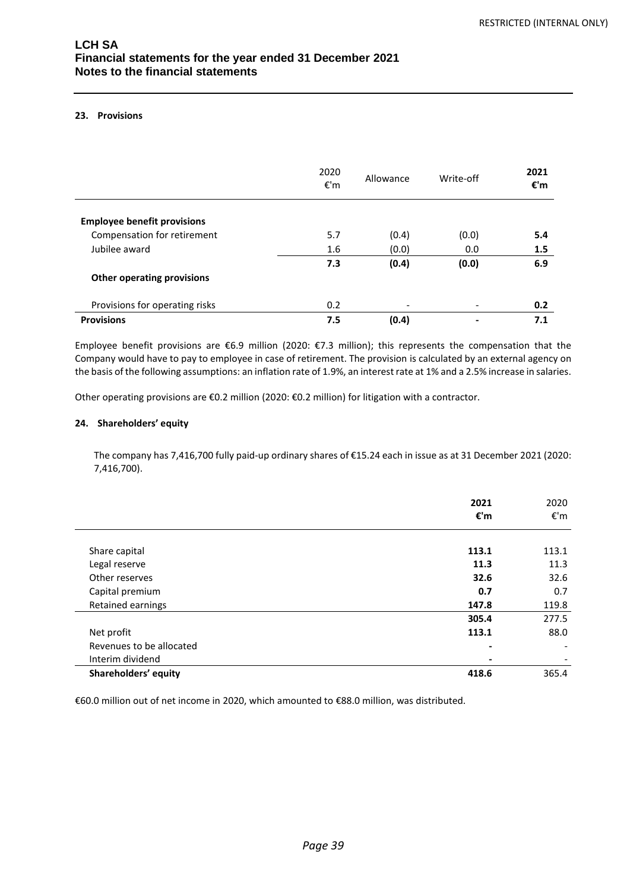## **23. Provisions**

|                                    | 2020<br>€'m | Allowance                | Write-off                | 2021<br>€'m |
|------------------------------------|-------------|--------------------------|--------------------------|-------------|
| <b>Employee benefit provisions</b> |             |                          |                          |             |
| Compensation for retirement        | 5.7         | (0.4)                    | (0.0)                    | 5.4         |
| Jubilee award                      | 1.6         | (0.0)                    | 0.0                      | 1.5         |
|                                    | 7.3         | (0.4)                    | (0.0)                    | 6.9         |
| <b>Other operating provisions</b>  |             |                          |                          |             |
| Provisions for operating risks     | 0.2         | $\overline{\phantom{a}}$ | $\overline{\phantom{a}}$ | 0.2         |
| <b>Provisions</b>                  | 7.5         | (0.4)                    |                          | 7.1         |

Employee benefit provisions are €6.9 million (2020: €7.3 million); this represents the compensation that the Company would have to pay to employee in case of retirement. The provision is calculated by an external agency on the basis of the following assumptions: an inflation rate of 1.9%, an interest rate at 1% and a 2.5% increase in salaries.

Other operating provisions are €0.2 million (2020: €0.2 million) for litigation with a contractor.

## **24. Shareholders' equity**

The company has 7,416,700 fully paid-up ordinary shares of €15.24 each in issue as at 31 December 2021 (2020: 7,416,700).

|                          | 2021<br>€'m              | 2020<br>€'m |
|--------------------------|--------------------------|-------------|
|                          |                          |             |
| Share capital            | 113.1                    | 113.1       |
| Legal reserve            | 11.3                     | 11.3        |
| Other reserves           | 32.6                     | 32.6        |
| Capital premium          | 0.7                      | 0.7         |
| Retained earnings        | 147.8                    | 119.8       |
|                          | 305.4                    | 277.5       |
| Net profit               | 113.1                    | 88.0        |
| Revenues to be allocated | $\blacksquare$           |             |
| Interim dividend         | $\overline{\phantom{a}}$ |             |
| Shareholders' equity     | 418.6                    | 365.4       |

€60.0 million out of net income in 2020, which amounted to €88.0 million, was distributed.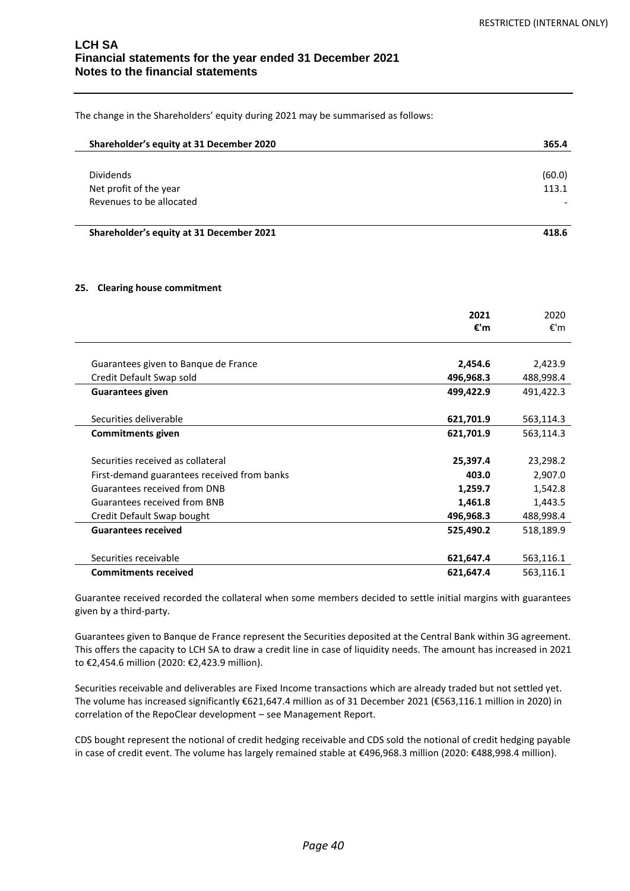The change in the Shareholders' equity during 2021 may be summarised as follows:

| Shareholder's equity at 31 December 2020 | 365.4  |
|------------------------------------------|--------|
|                                          |        |
| <b>Dividends</b>                         | (60.0) |
| Net profit of the year                   | 113.1  |
| Revenues to be allocated                 |        |
|                                          |        |

**Shareholder's equity at 31 December 2021 418.6**

#### **25. Clearing house commitment**

|                                             | 2021<br>€'m | 2020<br>€'m |
|---------------------------------------------|-------------|-------------|
|                                             |             |             |
| Guarantees given to Banque de France        | 2,454.6     | 2,423.9     |
| Credit Default Swap sold                    | 496,968.3   | 488,998.4   |
| <b>Guarantees given</b>                     | 499,422.9   | 491,422.3   |
|                                             |             |             |
| Securities deliverable                      | 621,701.9   | 563,114.3   |
| <b>Commitments given</b>                    | 621,701.9   | 563,114.3   |
|                                             |             |             |
| Securities received as collateral           | 25,397.4    | 23,298.2    |
| First-demand guarantees received from banks | 403.0       | 2,907.0     |
| Guarantees received from DNB                | 1,259.7     | 1,542.8     |
| <b>Guarantees received from BNB</b>         | 1,461.8     | 1,443.5     |
| Credit Default Swap bought                  | 496,968.3   | 488,998.4   |
| <b>Guarantees received</b>                  | 525,490.2   | 518,189.9   |
|                                             |             |             |
| Securities receivable                       | 621,647.4   | 563,116.1   |
| <b>Commitments received</b>                 | 621,647.4   | 563,116.1   |

Guarantee received recorded the collateral when some members decided to settle initial margins with guarantees given by a third-party.

Guarantees given to Banque de France represent the Securities deposited at the Central Bank within 3G agreement. This offers the capacity to LCH SA to draw a credit line in case of liquidity needs. The amount has increased in 2021 to €2,454.6 million (2020: €2,423.9 million).

Securities receivable and deliverables are Fixed Income transactions which are already traded but not settled yet. The volume has increased significantly €621,647.4 million as of 31 December 2021 (€563,116.1 million in 2020) in correlation of the RepoClear development – see Management Report.

CDS bought represent the notional of credit hedging receivable and CDS sold the notional of credit hedging payable in case of credit event. The volume has largely remained stable at €496,968.3 million (2020: €488,998.4 million).